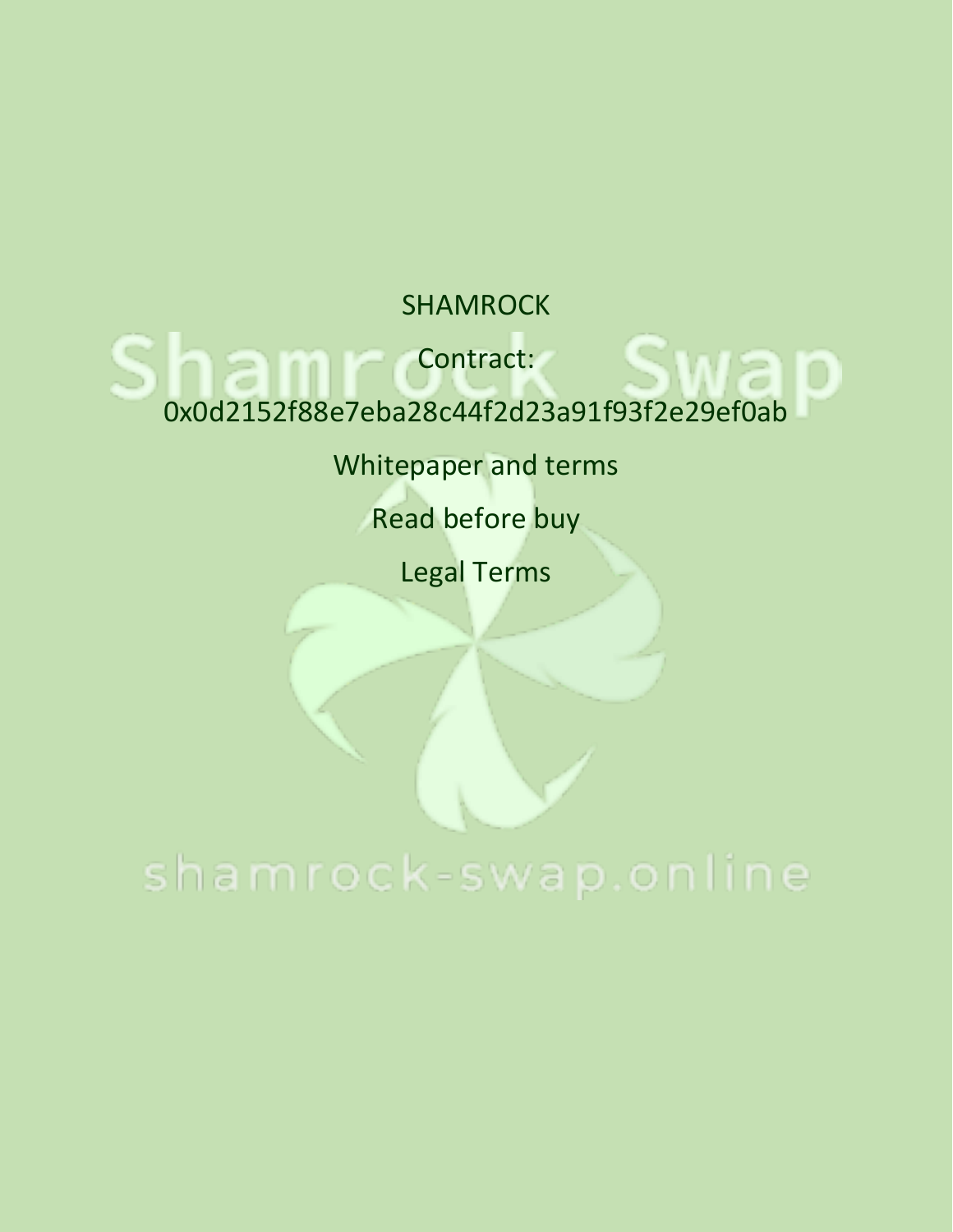SHAMROCK

Contract:

0x0d2152f88e7eba28c44f2d23a91f93f2e29ef0ab

Whitepaper and terms

Read before buy

Legal Terms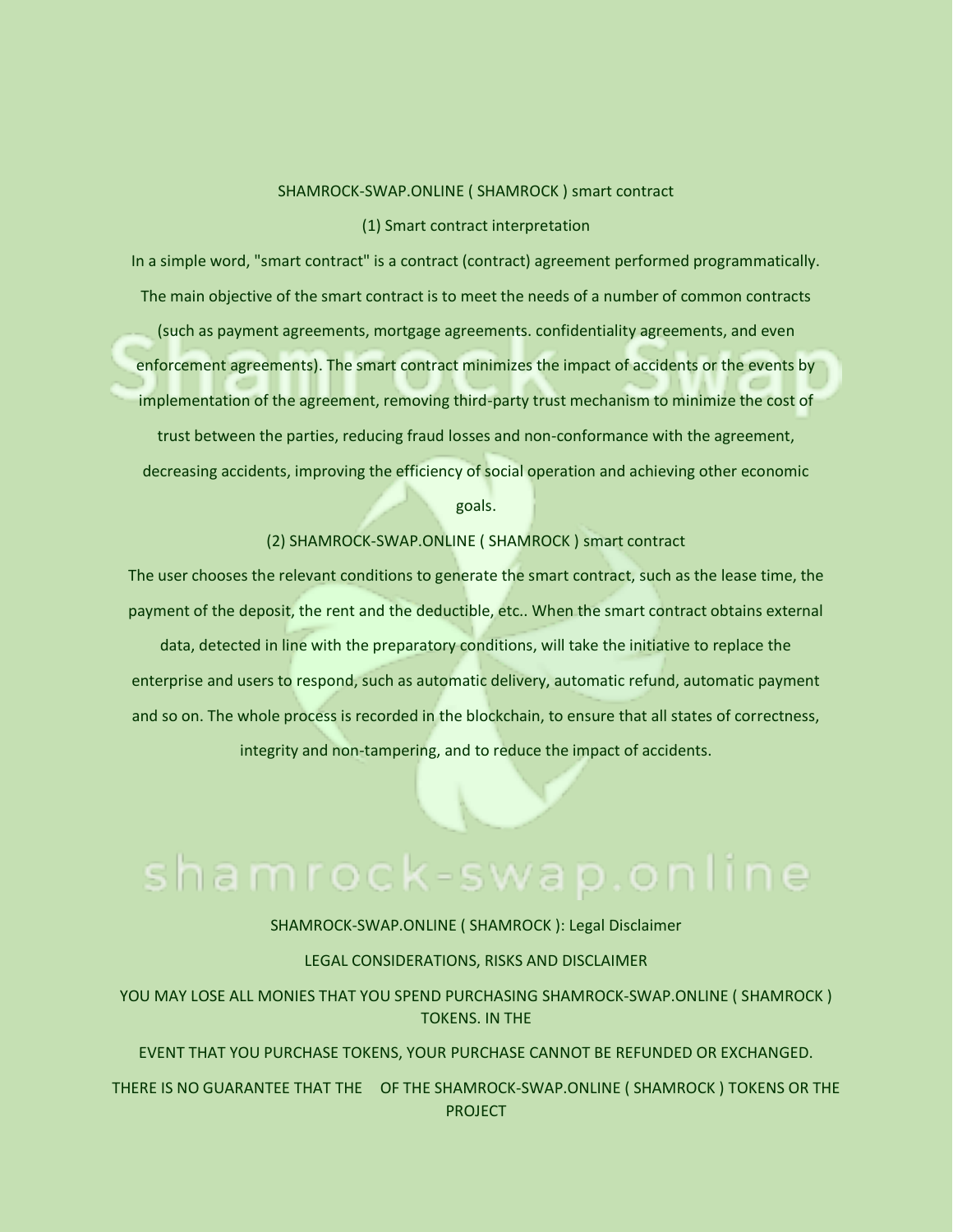### SHAMROCK-SWAP.ONLINE ( SHAMROCK ) smart contract

### (1) Smart contract interpretation

In a simple word, "smart contract" is a contract (contract) agreement performed programmatically. The main objective of the smart contract is to meet the needs of a number of common contracts (such as payment agreements, mortgage agreements. confidentiality agreements, and even enforcement agreements). The smart contract minimizes the impact of accidents or the events by implementation of the agreement, removing third-party trust mechanism to minimize the cost of trust between the parties, reducing fraud losses and non-conformance with the agreement, decreasing accidents, improving the efficiency of social operation and achieving other economic goals.

(2) SHAMROCK-SWAP.ONLINE ( SHAMROCK ) smart contract

The user chooses the relevant conditions to generate the smart contract, such as the lease time, the payment of the deposit, the rent and the deductible, etc.. When the smart contract obtains external

data, detected in line with the preparatory conditions, will take the initiative to replace the enterprise and users to respond, such as automatic delivery, automatic refund, automatic payment and so on. The whole process is recorded in the blockchain, to ensure that all states of correctness, integrity and non-tampering, and to reduce the impact of accidents.

SHAMROCK-SWAP.ONLINE ( SHAMROCK ): Legal Disclaimer

LEGAL CONSIDERATIONS, RISKS AND DISCLAIMER

YOU MAY LOSE ALL MONIES THAT YOU SPEND PURCHASING SHAMROCK-SWAP.ONLINE ( SHAMROCK ) TOKENS. IN THE

EVENT THAT YOU PURCHASE TOKENS, YOUR PURCHASE CANNOT BE REFUNDED OR EXCHANGED.

THERE IS NO GUARANTEE THAT THE OF THE SHAMROCK-SWAP.ONLINE ( SHAMROCK ) TOKENS OR THE PROJECT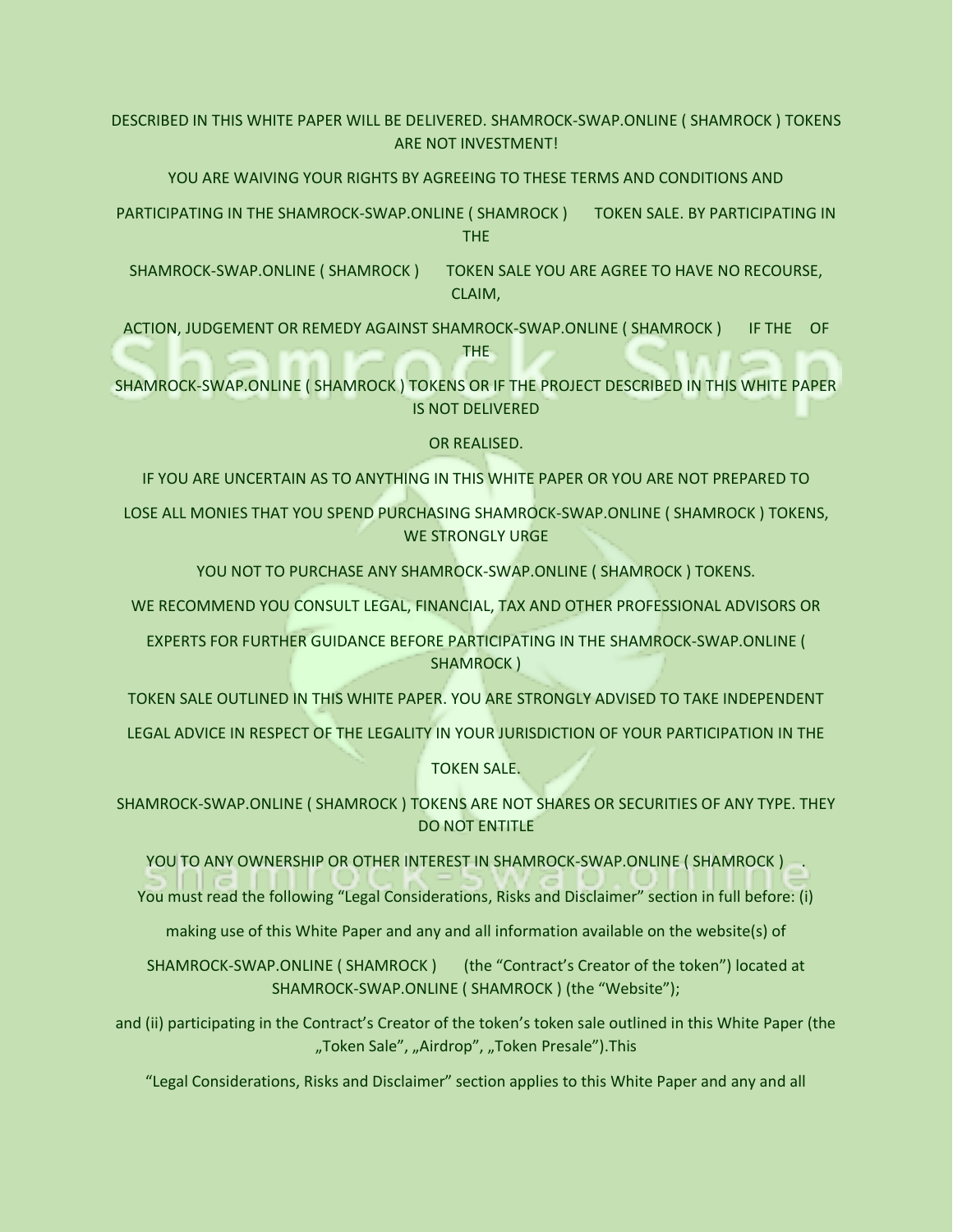DESCRIBED IN THIS WHITE PAPER WILL BE DELIVERED. SHAMROCK-SWAP.ONLINE ( SHAMROCK ) TOKENS ARE NOT INVESTMENT!

YOU ARE WAIVING YOUR RIGHTS BY AGREEING TO THESE TERMS AND CONDITIONS AND

PARTICIPATING IN THE SHAMROCK-SWAP.ONLINE ( SHAMROCK ) TOKEN SALE. BY PARTICIPATING IN THE

SHAMROCK-SWAP.ONLINE ( SHAMROCK ) TOKEN SALE YOU ARE AGREE TO HAVE NO RECOURSE, CLAIM,

ACTION, JUDGEMENT OR REMEDY AGAINST SHAMROCK-SWAP.ONLINE ( SHAMROCK ) IF THE OF THE

SHAMROCK-SWAP.ONLINE ( SHAMROCK ) TOKENS OR IF THE PROJECT DESCRIBED IN THIS WHITE PAPER IS NOT DELIVERED

OR REALISED.

IF YOU ARE UNCERTAIN AS TO ANYTHING IN THIS WHITE PAPER OR YOU ARE NOT PREPARED TO

LOSE ALL MONIES THAT YOU SPEND PURCHASING SHAMROCK-SWAP.ONLINE ( SHAMROCK ) TOKENS, WE STRONGLY URGE

YOU NOT TO PURCHASE ANY SHAMROCK-SWAP.ONLINE ( SHAMROCK ) TOKENS.

WE RECOMMEND YOU CONSULT LEGAL, FINANCIAL, TAX AND OTHER PROFESSIONAL ADVISORS OR

EXPERTS FOR FURTHER GUIDANCE BEFORE PARTICIPATING IN THE SHAMROCK-SWAP.ONLINE ( SHAMROCK )

TOKEN SALE OUTLINED IN THIS WHITE PAPER. YOU ARE STRONGLY ADVISED TO TAKE INDEPENDENT

LEGAL ADVICE IN RESPECT OF THE LEGALITY IN YOUR JURISDICTION OF YOUR PARTICIPATION IN THE

TOKEN SALE.

SHAMROCK-SWAP.ONLINE ( SHAMROCK ) TOKENS ARE NOT SHARES OR SECURITIES OF ANY TYPE. THEY DO NOT ENTITLE

YOU TO ANY OWNERSHIP OR OTHER INTEREST IN SHAMROCK-SWAP.ONLINE ( SHAMROCK ) .

You must read the following "Legal Considerations, Risks and Disclaimer" section in full before: (i)

making use of this White Paper and any and all information available on the website(s) of

SHAMROCK-SWAP.ONLINE ( SHAMROCK ) (the "Contract's Creator of the token") located at SHAMROCK-SWAP.ONLINE ( SHAMROCK ) (the "Website");

and (ii) participating in the Contract's Creator of the token's token sale outlined in this White Paper (the "Token Sale", "Airdrop", "Token Presale"). This

"Legal Considerations, Risks and Disclaimer" section applies to this White Paper and any and all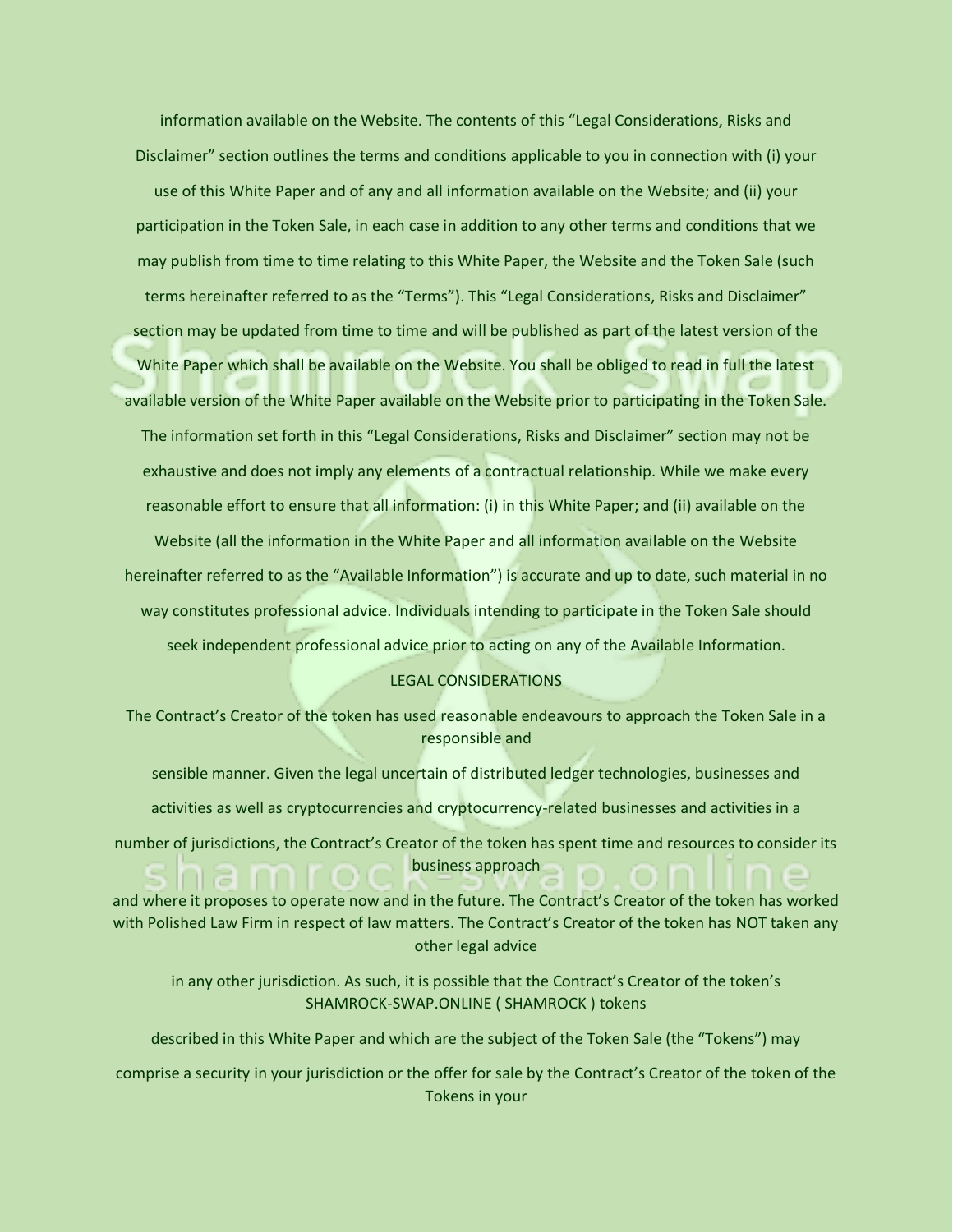information available on the Website. The contents of this "Legal Considerations, Risks and Disclaimer" section outlines the terms and conditions applicable to you in connection with (i) your use of this White Paper and of any and all information available on the Website; and (ii) your participation in the Token Sale, in each case in addition to any other terms and conditions that we may publish from time to time relating to this White Paper, the Website and the Token Sale (such terms hereinafter referred to as the "Terms"). This "Legal Considerations, Risks and Disclaimer" section may be updated from time to time and will be published as part of the latest version of the White Paper which shall be available on the Website. You shall be obliged to read in full the latest available version of the White Paper available on the Website prior to participating in the Token Sale. The information set forth in this "Legal Considerations, Risks and Disclaimer" section may not be exhaustive and does not imply any elements of a contractual relationship. While we make every reasonable effort to ensure that all information: (i) in this White Paper; and (ii) available on the

Website (all the information in the White Paper and all information available on the Website hereinafter referred to as the "Available Information") is accurate and up to date, such material in no way constitutes professional advice. Individuals intending to participate in the Token Sale should seek independent professional advice prior to acting on any of the Available Information.

### LEGAL CONSIDERATIONS

The Contract's Creator of the token has used reasonable endeavours to approach the Token Sale in a responsible and

sensible manner. Given the legal uncertain of distributed ledger technologies, businesses and activities as well as cryptocurrencies and cryptocurrency-related businesses and activities in a number of jurisdictions, the Contract's Creator of the token has spent time and resources to consider its

business approach

and where it proposes to operate now and in the future. The Contract's Creator of the token has worked with Polished Law Firm in respect of law matters. The Contract's Creator of the token has NOT taken any other legal advice

in any other jurisdiction. As such, it is possible that the Contract's Creator of the token's SHAMROCK-SWAP.ONLINE ( SHAMROCK ) tokens

described in this White Paper and which are the subject of the Token Sale (the "Tokens") may

comprise a security in your jurisdiction or the offer for sale by the Contract's Creator of the token of the Tokens in your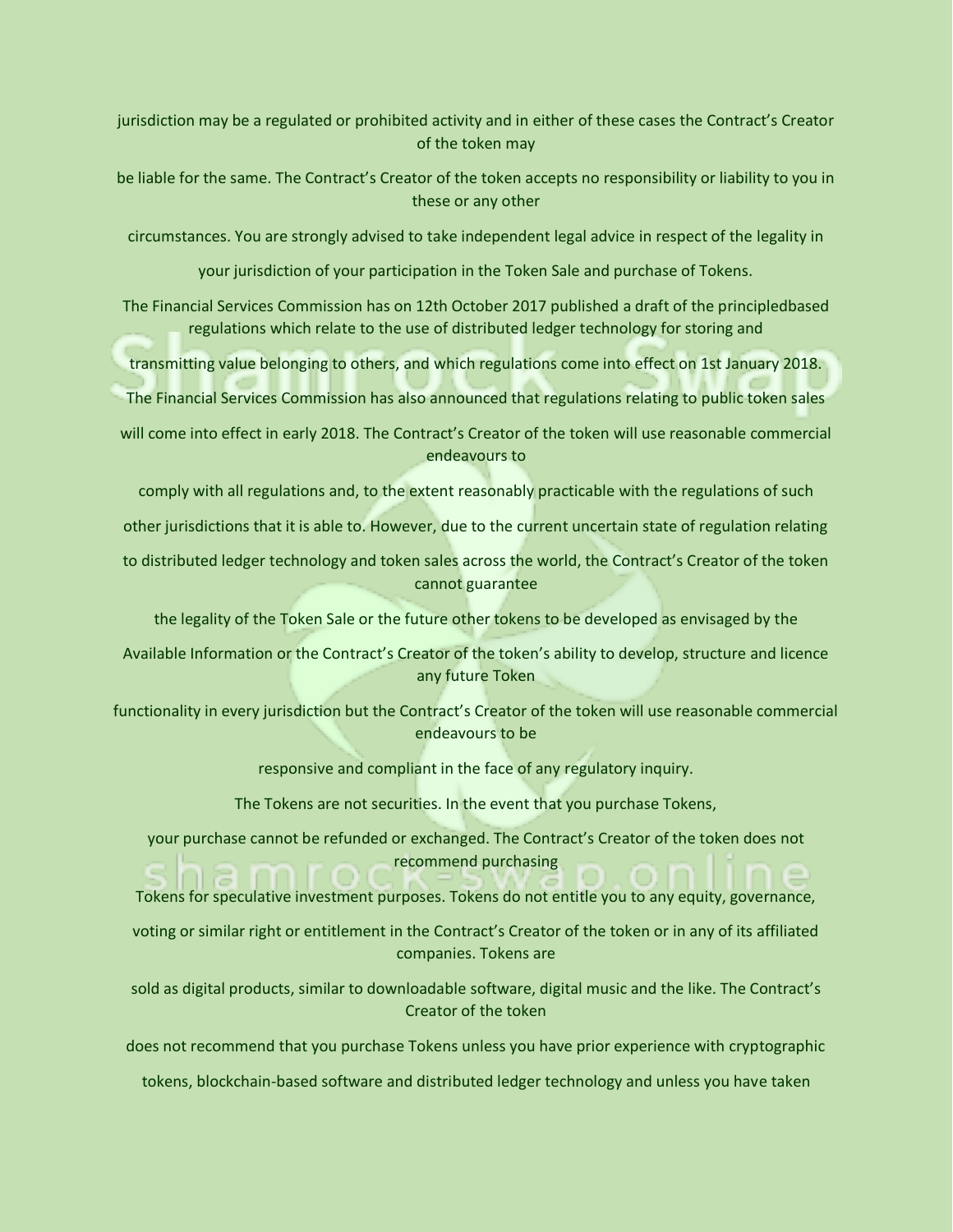jurisdiction may be a regulated or prohibited activity and in either of these cases the Contract's Creator of the token may

be liable for the same. The Contract's Creator of the token accepts no responsibility or liability to you in these or any other

circumstances. You are strongly advised to take independent legal advice in respect of the legality in

your jurisdiction of your participation in the Token Sale and purchase of Tokens.

The Financial Services Commission has on 12th October 2017 published a draft of the principledbased regulations which relate to the use of distributed ledger technology for storing and

transmitting value belonging to others, and which regulations come into effect on 1st January 2018.

The Financial Services Commission has also announced that regulations relating to public token sales

will come into effect in early 2018. The Contract's Creator of the token will use reasonable commercial endeavours to

comply with all regulations and, to the extent reasonably practicable with the regulations of such

other jurisdictions that it is able to. However, due to the current uncertain state of regulation relating

to distributed ledger technology and token sales across the world, the Contract's Creator of the token cannot guarantee

the legality of the Token Sale or the future other tokens to be developed as envisaged by the

Available Information or the Contract's Creator of the token's ability to develop, structure and licence any future Token

functionality in every jurisdiction but the Contract's Creator of the token will use reasonable commercial endeavours to be

responsive and compliant in the face of any regulatory inquiry.

The Tokens are not securities. In the event that you purchase Tokens,

your purchase cannot be refunded or exchanged. The Contract's Creator of the token does not recommend purchasing

Tokens for speculative investment purposes. Tokens do not entitle you to any equity, governance,

voting or similar right or entitlement in the Contract's Creator of the token or in any of its affiliated companies. Tokens are

sold as digital products, similar to downloadable software, digital music and the like. The Contract's Creator of the token

does not recommend that you purchase Tokens unless you have prior experience with cryptographic

tokens, blockchain-based software and distributed ledger technology and unless you have taken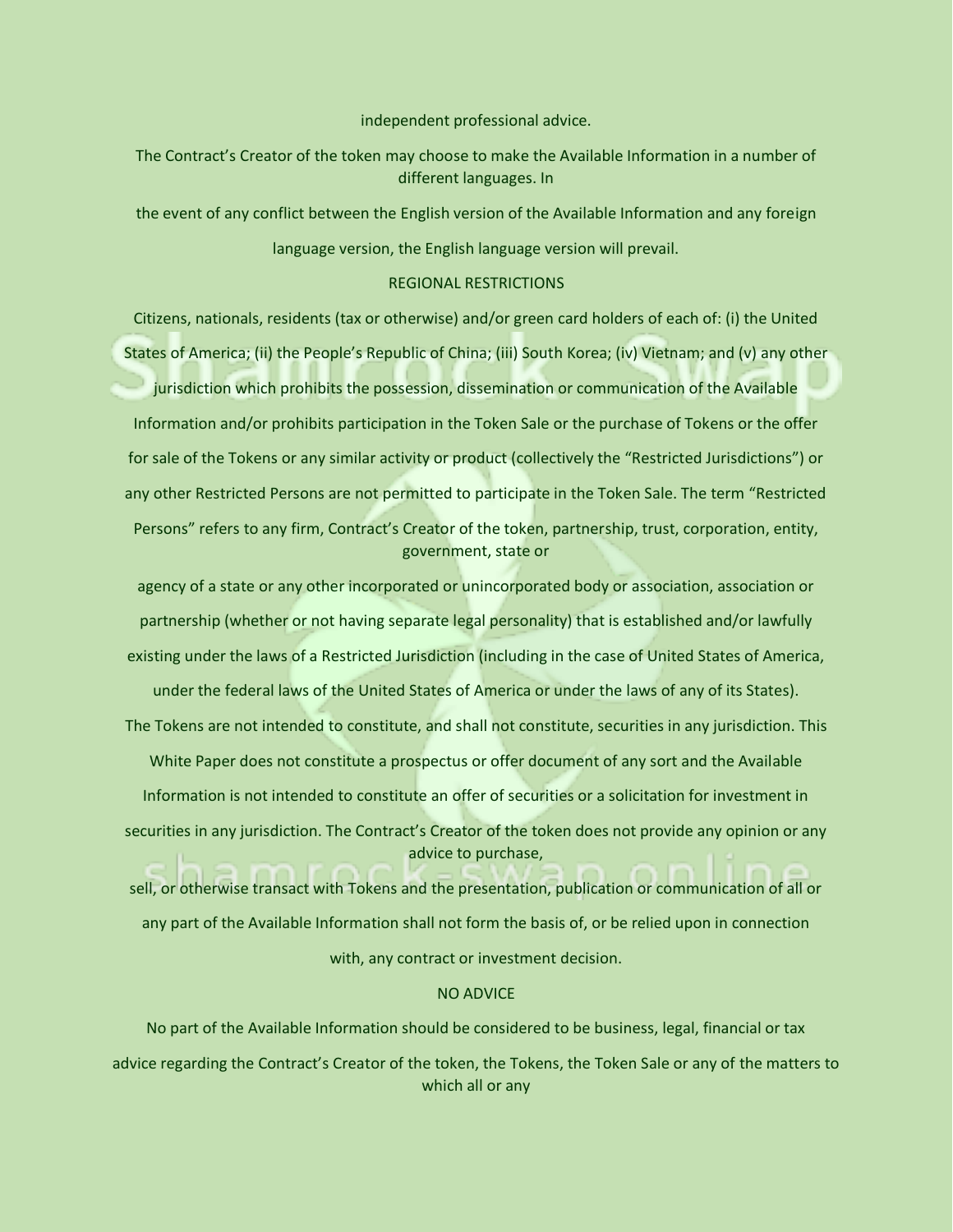independent professional advice.

The Contract's Creator of the token may choose to make the Available Information in a number of different languages. In

the event of any conflict between the English version of the Available Information and any foreign language version, the English language version will prevail.

### REGIONAL RESTRICTIONS

Citizens, nationals, residents (tax or otherwise) and/or green card holders of each of: (i) the United States of America; (ii) the People's Republic of China; (iii) South Korea; (iv) Vietnam; and (v) any other jurisdiction which prohibits the possession, dissemination or communication of the Available Information and/or prohibits participation in the Token Sale or the purchase of Tokens or the offer for sale of the Tokens or any similar activity or product (collectively the "Restricted Jurisdictions") or any other Restricted Persons are not permitted to participate in the Token Sale. The term "Restricted Persons" refers to any firm, Contract's Creator of the token, partnership, trust, corporation, entity, government, state or

agency of a state or any other incorporated or unincorporated body or association, association or partnership (whether or not having separate legal personality) that is established and/or lawfully existing under the laws of a Restricted Jurisdiction (including in the case of United States of America,

under the federal laws of the United States of America or under the laws of any of its States). The Tokens are not intended to constitute, and shall not constitute, securities in any jurisdiction. This White Paper does not constitute a prospectus or offer document of any sort and the Available Information is not intended to constitute an offer of securities or a solicitation for investment in securities in any jurisdiction. The Contract's Creator of the token does not provide any opinion or any advice to purchase,

sell, or otherwise transact with Tokens and the presentation, publication or communication of all or any part of the Available Information shall not form the basis of, or be relied upon in connection with, any contract or investment decision.

### NO ADVICE

No part of the Available Information should be considered to be business, legal, financial or tax advice regarding the Contract's Creator of the token, the Tokens, the Token Sale or any of the matters to which all or any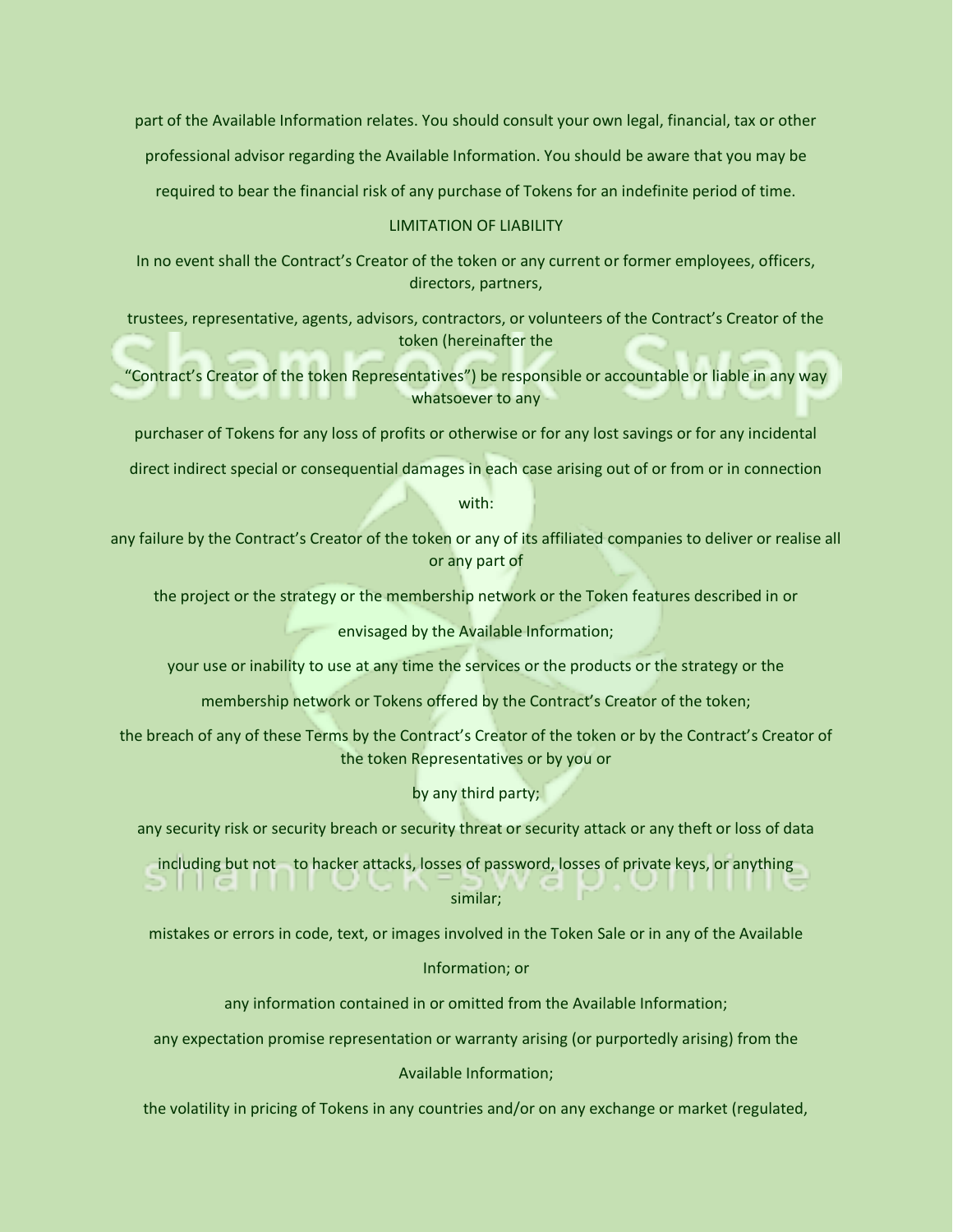part of the Available Information relates. You should consult your own legal, financial, tax or other

professional advisor regarding the Available Information. You should be aware that you may be

required to bear the financial risk of any purchase of Tokens for an indefinite period of time.

### LIMITATION OF LIABILITY

In no event shall the Contract's Creator of the token or any current or former employees, officers, directors, partners,

trustees, representative, agents, advisors, contractors, or volunteers of the Contract's Creator of the token (hereinafter the

"Contract's Creator of the token Representatives") be responsible or accountable or liable in any way whatsoever to any

purchaser of Tokens for any loss of profits or otherwise or for any lost savings or for any incidental

direct indirect special or consequential damages in each case arising out of or from or in connection

with:

any failure by the Contract's Creator of the token or any of its affiliated companies to deliver or realise all or any part of

the project or the strategy or the membership network or the Token features described in or

envisaged by the Available Information;

your use or inability to use at any time the services or the products or the strategy or the

membership network or Tokens offered by the Contract's Creator of the token;

the breach of any of these Terms by the Contract's Creator of the token or by the Contract's Creator of the token Representatives or by you or

by any third party;

any security risk or security breach or security threat or security attack or any theft or loss of data

including but not to hacker attacks, losses of password, losses of private keys, or anything

similar;

mistakes or errors in code, text, or images involved in the Token Sale or in any of the Available

### Information; or

any information contained in or omitted from the Available Information;

any expectation promise representation or warranty arising (or purportedly arising) from the

# Available Information;

the volatility in pricing of Tokens in any countries and/or on any exchange or market (regulated,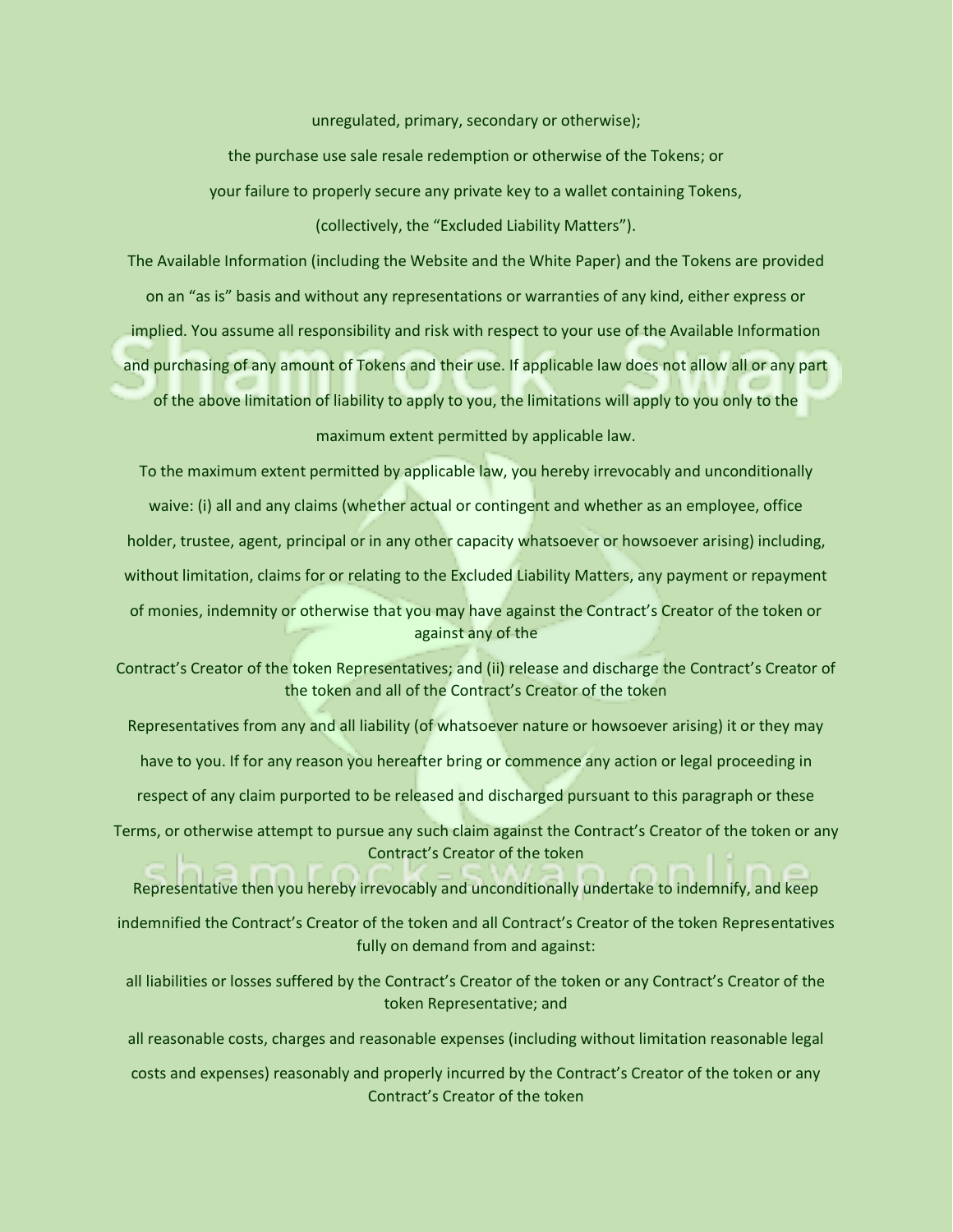unregulated, primary, secondary or otherwise);

the purchase use sale resale redemption or otherwise of the Tokens; or your failure to properly secure any private key to a wallet containing Tokens, (collectively, the "Excluded Liability Matters").

The Available Information (including the Website and the White Paper) and the Tokens are provided on an "as is" basis and without any representations or warranties of any kind, either express or implied. You assume all responsibility and risk with respect to your use of the Available Information and purchasing of any amount of Tokens and their use. If applicable law does not allow all or any part of the above limitation of liability to apply to you, the limitations will apply to you only to the maximum extent permitted by applicable law.

To the maximum extent permitted by applicable law, you hereby irrevocably and unconditionally waive: (i) all and any claims (whether actual or contingent and whether as an employee, office holder, trustee, agent, principal or in any other capacity whatsoever or howsoever arising) including, without limitation, claims for or relating to the Excluded Liability Matters, any payment or repayment of monies, indemnity or otherwise that you may have against the Contract's Creator of the token or against any of the

Contract's Creator of the token Representatives; and (ii) release and discharge the Contract's Creator of the token and all of the Contract's Creator of the token

Representatives from any and all liability (of whatsoever nature or howsoever arising) it or they may

have to you. If for any reason you hereafter bring or commence any action or legal proceeding in

respect of any claim purported to be released and discharged pursuant to this paragraph or these

Terms, or otherwise attempt to pursue any such claim against the Contract's Creator of the token or any Contract's Creator of the token

Representative then you hereby irrevocably and unconditionally undertake to indemnify, and keep

indemnified the Contract's Creator of the token and all Contract's Creator of the token Representatives fully on demand from and against:

all liabilities or losses suffered by the Contract's Creator of the token or any Contract's Creator of the token Representative; and

all reasonable costs, charges and reasonable expenses (including without limitation reasonable legal

costs and expenses) reasonably and properly incurred by the Contract's Creator of the token or any Contract's Creator of the token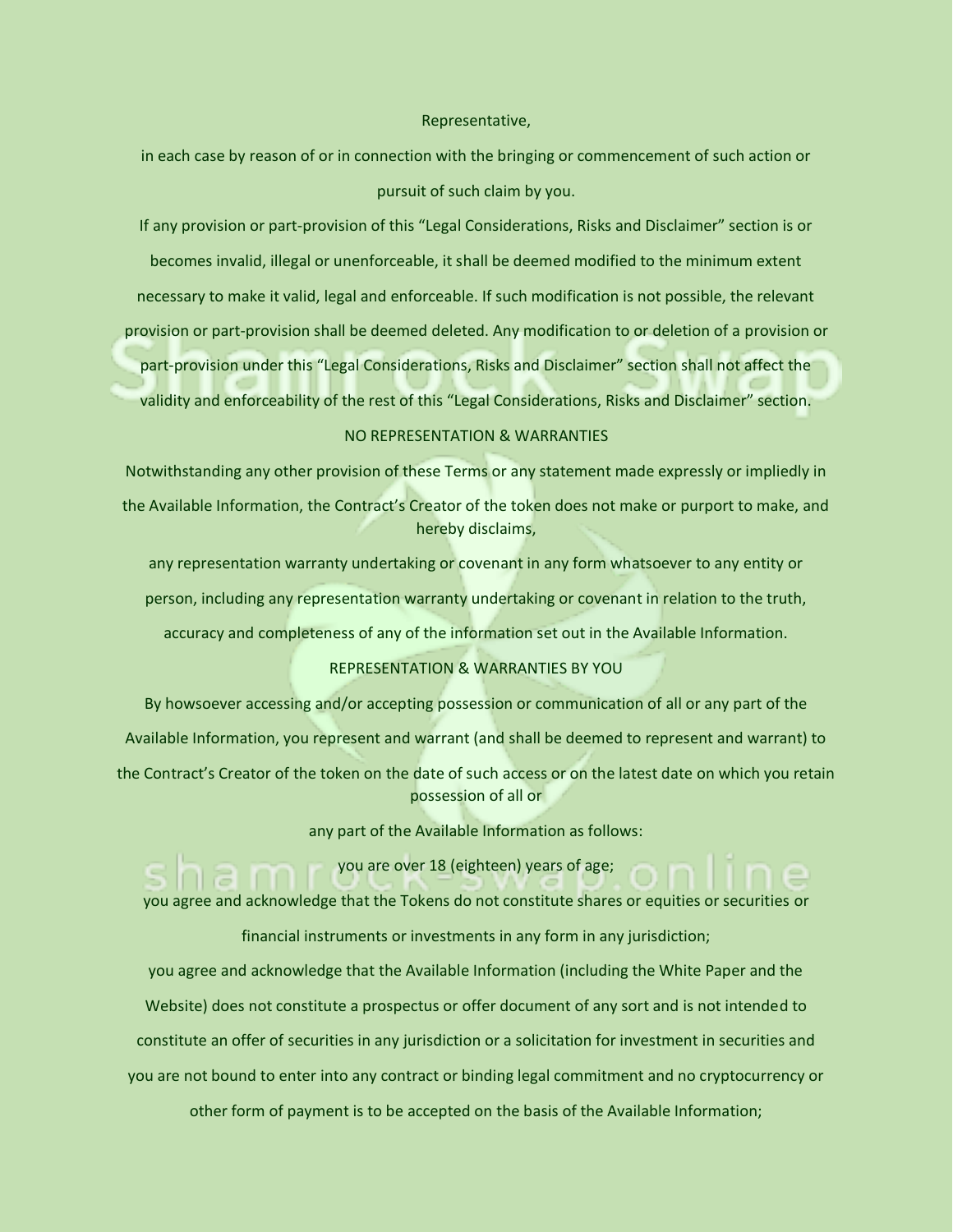### Representative,

in each case by reason of or in connection with the bringing or commencement of such action or pursuit of such claim by you.

If any provision or part-provision of this "Legal Considerations, Risks and Disclaimer" section is or becomes invalid, illegal or unenforceable, it shall be deemed modified to the minimum extent necessary to make it valid, legal and enforceable. If such modification is not possible, the relevant provision or part-provision shall be deemed deleted. Any modification to or deletion of a provision or part-provision under this "Legal Considerations, Risks and Disclaimer" section shall not affect the validity and enforceability of the rest of this "Legal Considerations, Risks and Disclaimer" section.

### NO REPRESENTATION & WARRANTIES

Notwithstanding any other provision of these Terms or any statement made expressly or impliedly in the Available Information, the Contract's Creator of the token does not make or purport to make, and hereby disclaims,

any representation warranty undertaking or covenant in any form whatsoever to any entity or person, including any representation warranty undertaking or covenant in relation to the truth, accuracy and completeness of any of the information set out in the Available Information.

### REPRESENTATION & WARRANTIES BY YOU

By howsoever accessing and/or accepting possession or communication of all or any part of the Available Information, you represent and warrant (and shall be deemed to represent and warrant) to the Contract's Creator of the token on the date of such access or on the latest date on which you retain possession of all or

any part of the Available Information as follows:

you are over 18 (eighteen) years of age;

you agree and acknowledge that the Tokens do not constitute shares or equities or securities or financial instruments or investments in any form in any jurisdiction;

you agree and acknowledge that the Available Information (including the White Paper and the Website) does not constitute a prospectus or offer document of any sort and is not intended to constitute an offer of securities in any jurisdiction or a solicitation for investment in securities and you are not bound to enter into any contract or binding legal commitment and no cryptocurrency or other form of payment is to be accepted on the basis of the Available Information;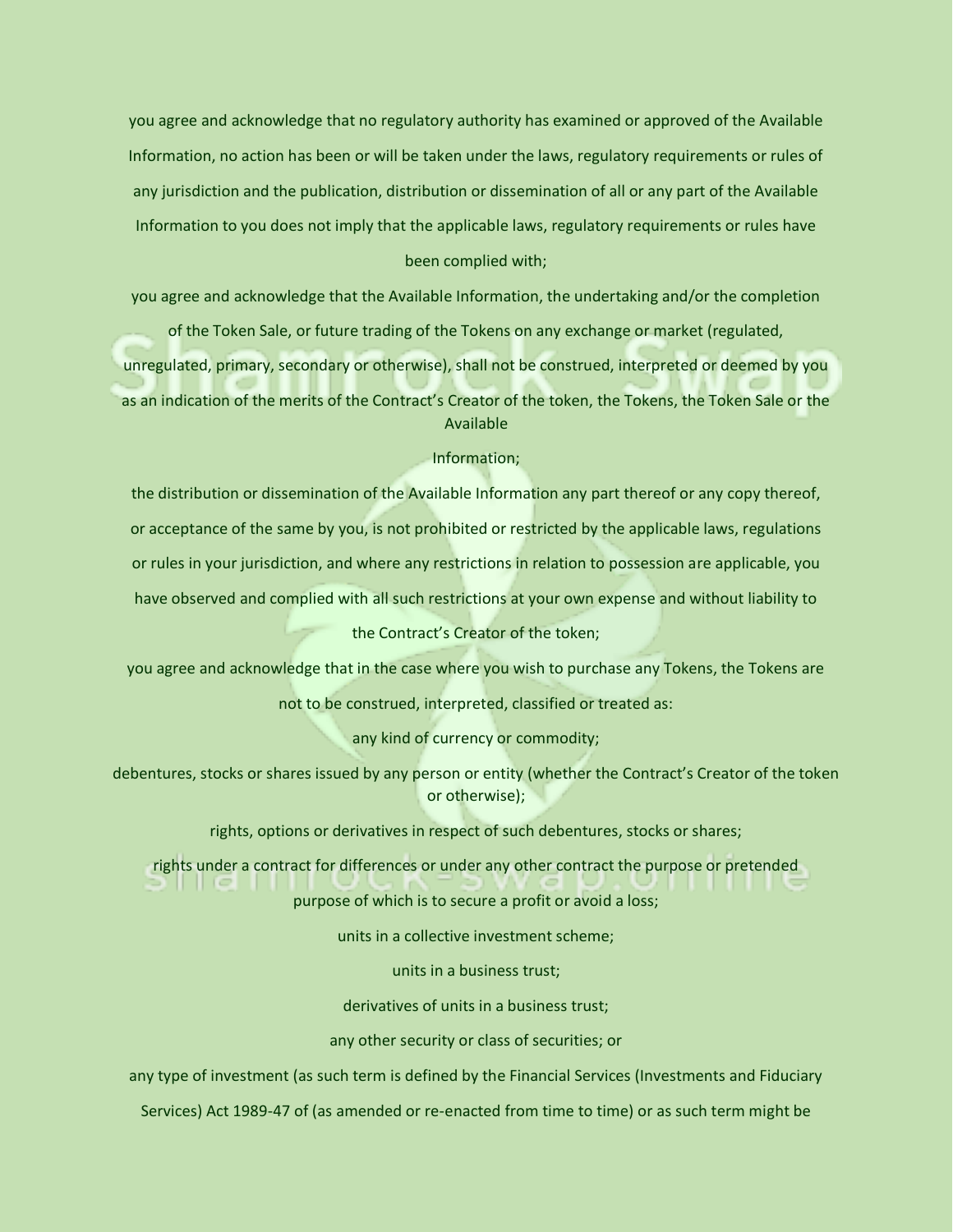you agree and acknowledge that no regulatory authority has examined or approved of the Available Information, no action has been or will be taken under the laws, regulatory requirements or rules of any jurisdiction and the publication, distribution or dissemination of all or any part of the Available Information to you does not imply that the applicable laws, regulatory requirements or rules have been complied with;

you agree and acknowledge that the Available Information, the undertaking and/or the completion

of the Token Sale, or future trading of the Tokens on any exchange or market (regulated,

unregulated, primary, secondary or otherwise), shall not be construed, interpreted or deemed by you as an indication of the merits of the Contract's Creator of the token, the Tokens, the Token Sale or the Available

### Information;

the distribution or dissemination of the Available Information any part thereof or any copy thereof, or acceptance of the same by you, is not prohibited or restricted by the applicable laws, regulations or rules in your jurisdiction, and where any restrictions in relation to possession are applicable, you have observed and complied with all such restrictions at your own expense and without liability to

# the Contract's Creator of the token;

you agree and acknowledge that in the case where you wish to purchase any Tokens, the Tokens are

not to be construed, interpreted, classified or treated as:

any kind of currency or commodity;

debentures, stocks or shares issued by any person or entity (whether the Contract's Creator of the token or otherwise);

rights, options or derivatives in respect of such debentures, stocks or shares;

rights under a contract for differences or under any other contract the purpose or pretended

purpose of which is to secure a profit or avoid a loss;

units in a collective investment scheme;

units in a business trust;

derivatives of units in a business trust;

any other security or class of securities; or

any type of investment (as such term is defined by the Financial Services (Investments and Fiduciary

Services) Act 1989-47 of (as amended or re-enacted from time to time) or as such term might be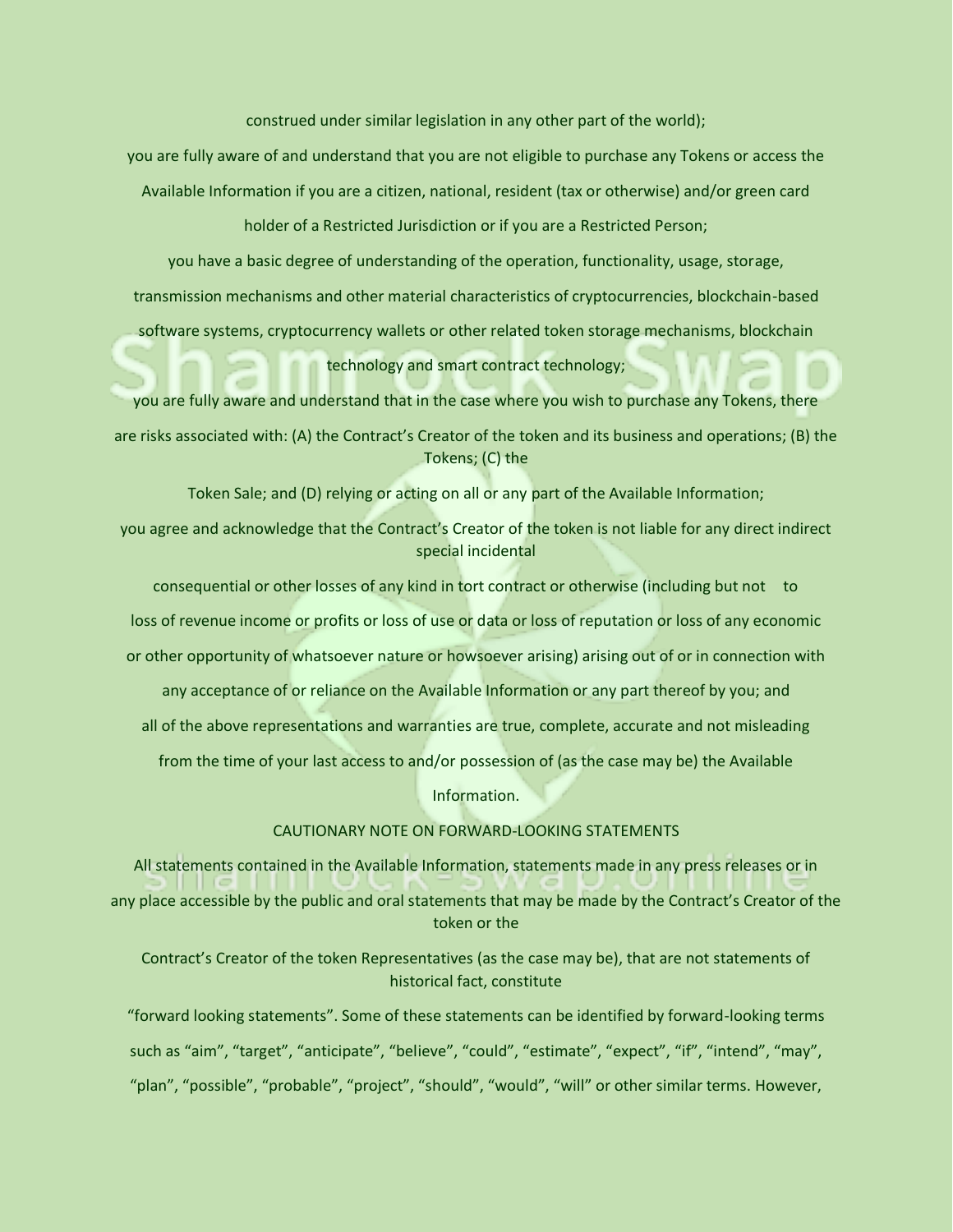construed under similar legislation in any other part of the world);

you are fully aware of and understand that you are not eligible to purchase any Tokens or access the

Available Information if you are a citizen, national, resident (tax or otherwise) and/or green card

holder of a Restricted Jurisdiction or if you are a Restricted Person;

you have a basic degree of understanding of the operation, functionality, usage, storage, transmission mechanisms and other material characteristics of cryptocurrencies, blockchain-based

software systems, cryptocurrency wallets or other related token storage mechanisms, blockchain

technology and smart contract technology;

you are fully aware and understand that in the case where you wish to purchase any Tokens, there are risks associated with: (A) the Contract's Creator of the token and its business and operations; (B) the Tokens; (C) the

Token Sale; and (D) relying or acting on all or any part of the Available Information;

you agree and acknowledge that the Contract's Creator of the token is not liable for any direct indirect special incidental

consequential or other losses of any kind in tort contract or otherwise (including but not to loss of revenue income or profits or loss of use or data or loss of reputation or loss of any economic or other opportunity of whatsoever nature or howsoever arising) arising out of or in connection with any acceptance of or reliance on the Available Information or any part thereof by you; and all of the above representations and warranties are true, complete, accurate and not misleading from the time of your last access to and/or possession of (as the case may be) the Available

Information.

CAUTIONARY NOTE ON FORWARD-LOOKING STATEMENTS

All statements contained in the Available Information, statements made in any press releases or in

any place accessible by the public and oral statements that may be made by the Contract's Creator of the token or the

Contract's Creator of the token Representatives (as the case may be), that are not statements of historical fact, constitute

"forward looking statements". Some of these statements can be identified by forward-looking terms such as "aim", "target", "anticipate", "believe", "could", "estimate", "expect", "if", "intend", "may",

"plan", "possible", "probable", "project", "should", "would", "will" or other similar terms. However,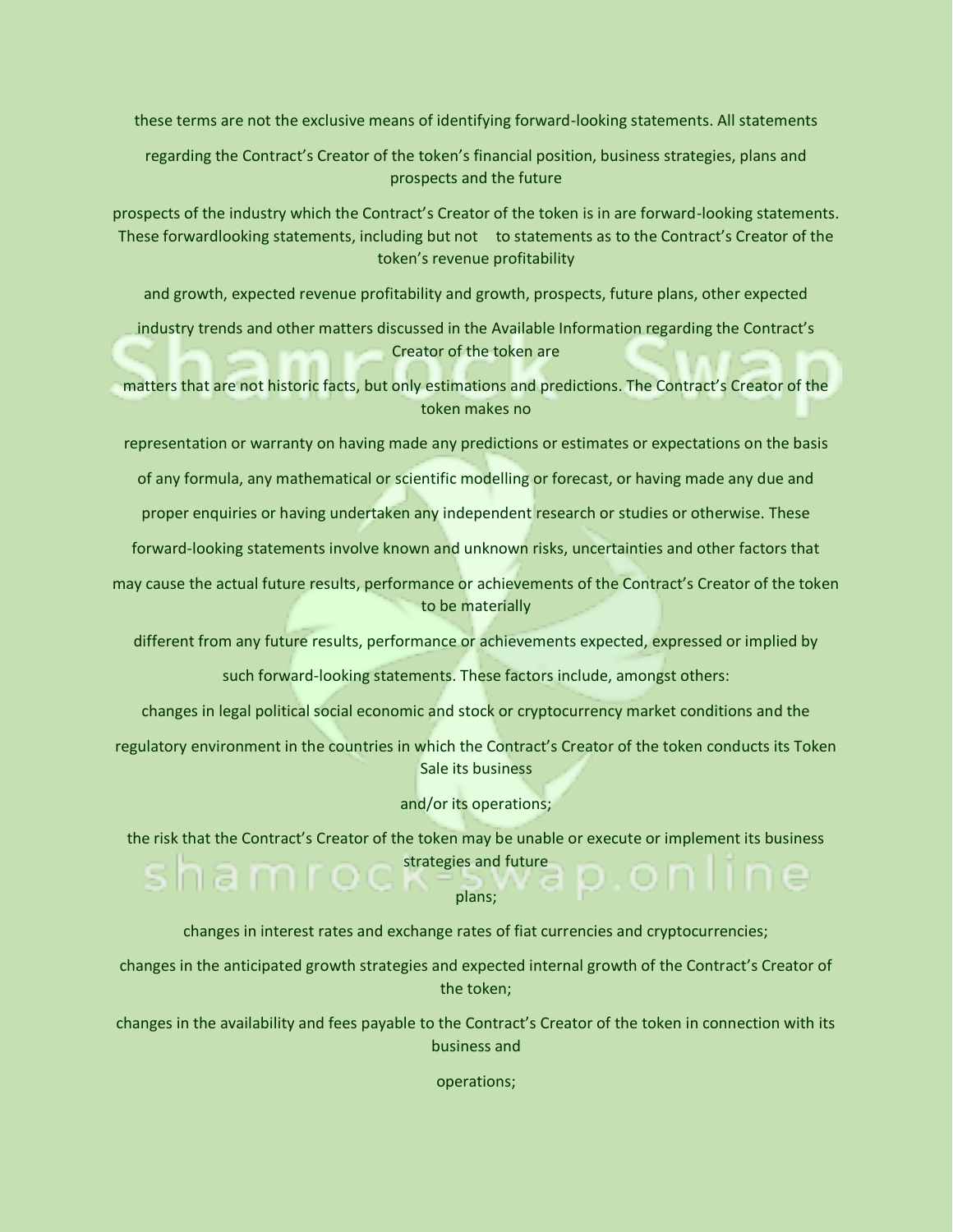these terms are not the exclusive means of identifying forward-looking statements. All statements

regarding the Contract's Creator of the token's financial position, business strategies, plans and prospects and the future

prospects of the industry which the Contract's Creator of the token is in are forward-looking statements. These forwardlooking statements, including but not to statements as to the Contract's Creator of the token's revenue profitability

and growth, expected revenue profitability and growth, prospects, future plans, other expected

industry trends and other matters discussed in the Available Information regarding the Contract's Creator of the token are

matters that are not historic facts, but only estimations and predictions. The Contract's Creator of the token makes no

representation or warranty on having made any predictions or estimates or expectations on the basis

of any formula, any mathematical or scientific modelling or forecast, or having made any due and

proper enquiries or having undertaken any independent research or studies or otherwise. These

forward-looking statements involve known and unknown risks, uncertainties and other factors that

may cause the actual future results, performance or achievements of the Contract's Creator of the token to be materially

different from any future results, performance or achievements expected, expressed or implied by

such forward-looking statements. These factors include, amongst others:

changes in legal political social economic and stock or cryptocurrency market conditions and the

regulatory environment in the countries in which the Contract's Creator of the token conducts its Token Sale its business

and/or its operations;

the risk that the Contract's Creator of the token may be unable or execute or implement its business strategies and future

plans;

changes in interest rates and exchange rates of fiat currencies and cryptocurrencies;

changes in the anticipated growth strategies and expected internal growth of the Contract's Creator of the token;

changes in the availability and fees payable to the Contract's Creator of the token in connection with its business and

operations;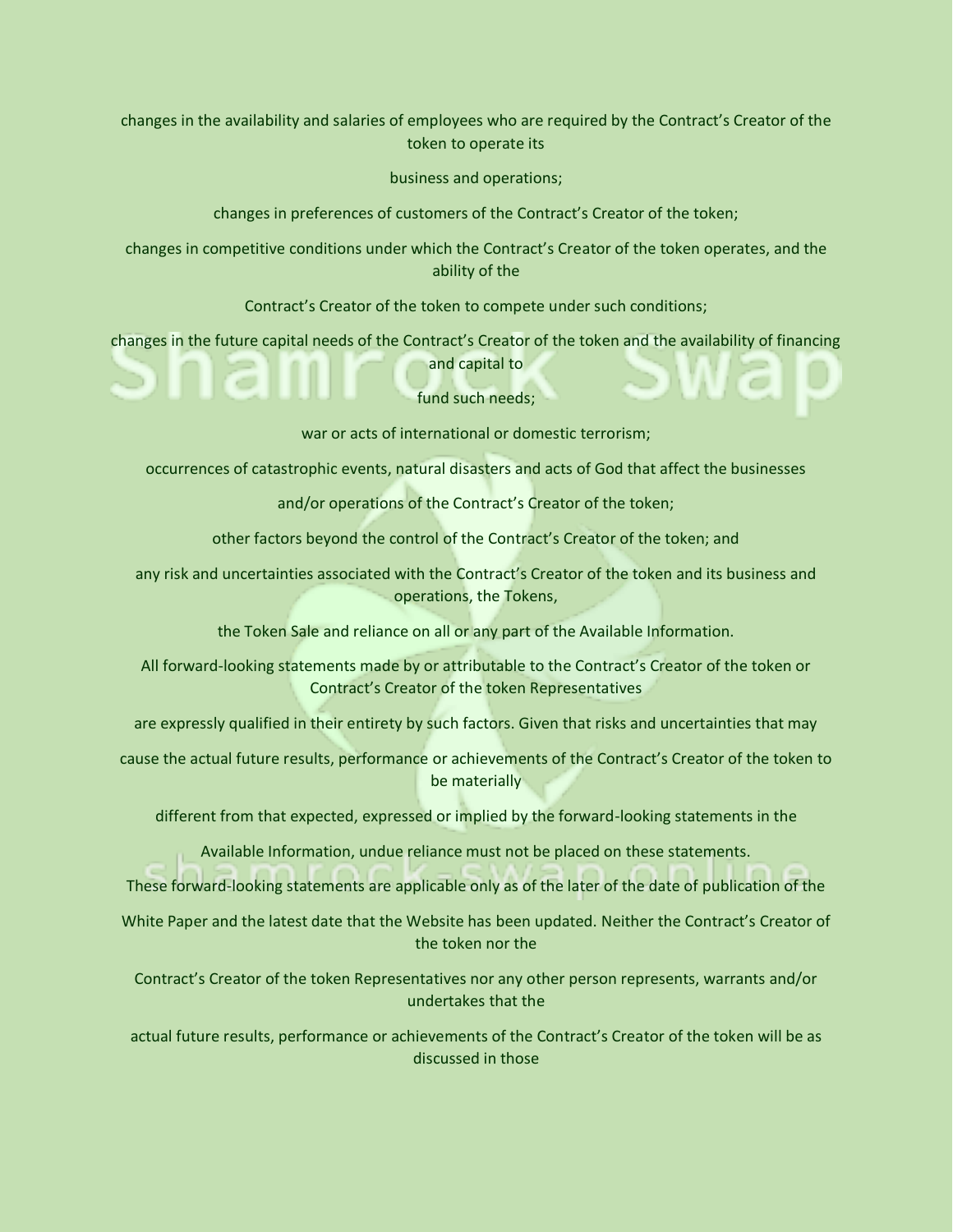changes in the availability and salaries of employees who are required by the Contract's Creator of the token to operate its

business and operations;

changes in preferences of customers of the Contract's Creator of the token;

changes in competitive conditions under which the Contract's Creator of the token operates, and the ability of the

Contract's Creator of the token to compete under such conditions;

changes in the future capital needs of the Contract's Creator of the token and the availability of financing and capital to

fund such needs;

war or acts of international or domestic terrorism;

occurrences of catastrophic events, natural disasters and acts of God that affect the businesses

and/or operations of the Contract's Creator of the token;

other factors beyond the control of the Contract's Creator of the token; and

any risk and uncertainties associated with the Contract's Creator of the token and its business and operations, the Tokens,

the Token Sale and reliance on all or any part of the Available Information.

All forward-looking statements made by or attributable to the Contract's Creator of the token or Contract's Creator of the token Representatives

are expressly qualified in their entirety by such factors. Given that risks and uncertainties that may

cause the actual future results, performance or achievements of the Contract's Creator of the token to be materially

different from that expected, expressed or implied by the forward-looking statements in the

Available Information, undue reliance must not be placed on these statements.

These forward-looking statements are applicable only as of the later of the date of publication of the

White Paper and the latest date that the Website has been updated. Neither the Contract's Creator of the token nor the

Contract's Creator of the token Representatives nor any other person represents, warrants and/or undertakes that the

actual future results, performance or achievements of the Contract's Creator of the token will be as discussed in those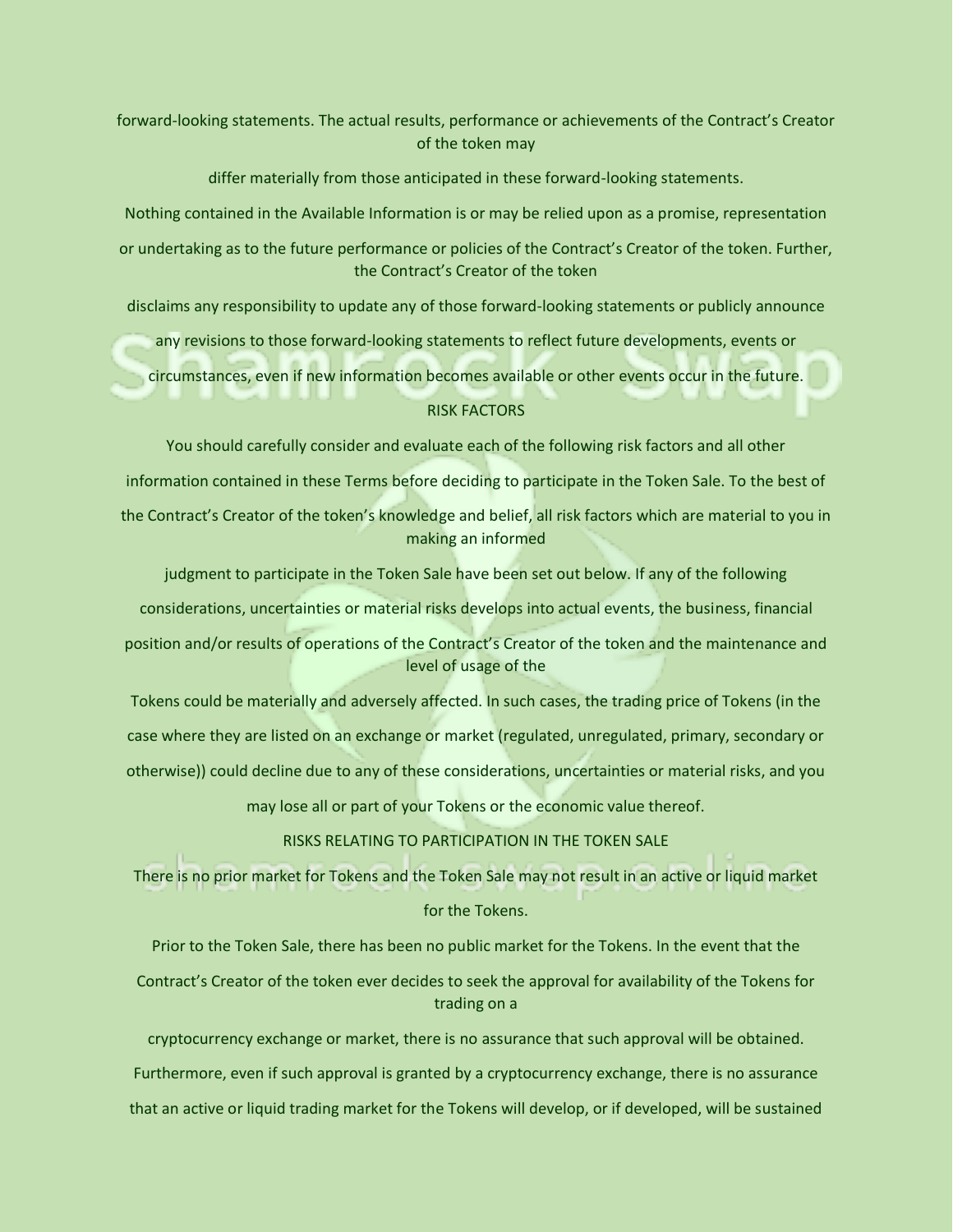forward-looking statements. The actual results, performance or achievements of the Contract's Creator of the token may

differ materially from those anticipated in these forward-looking statements.

Nothing contained in the Available Information is or may be relied upon as a promise, representation

or undertaking as to the future performance or policies of the Contract's Creator of the token. Further, the Contract's Creator of the token

disclaims any responsibility to update any of those forward-looking statements or publicly announce

any revisions to those forward-looking statements to reflect future developments, events or

circumstances, even if new information becomes available or other events occur in the future.

### RISK FACTORS

You should carefully consider and evaluate each of the following risk factors and all other

information contained in these Terms before deciding to participate in the Token Sale. To the best of

the Contract's Creator of the token's knowledge and belief, all risk factors which are material to you in making an informed

judgment to participate in the Token Sale have been set out below. If any of the following

considerations, uncertainties or material risks develops into actual events, the business, financial

position and/or results of operations of the Contract's Creator of the token and the maintenance and level of usage of the

Tokens could be materially and adversely affected. In such cases, the trading price of Tokens (in the case where they are listed on an exchange or market (regulated, unregulated, primary, secondary or otherwise)) could decline due to any of these considerations, uncertainties or material risks, and you

may lose all or part of your Tokens or the economic value thereof.

RISKS RELATING TO PARTICIPATION IN THE TOKEN SALE

There is no prior market for Tokens and the Token Sale may not result in an active or liquid market for the Tokens.

Prior to the Token Sale, there has been no public market for the Tokens. In the event that the

Contract's Creator of the token ever decides to seek the approval for availability of the Tokens for trading on a

cryptocurrency exchange or market, there is no assurance that such approval will be obtained. Furthermore, even if such approval is granted by a cryptocurrency exchange, there is no assurance that an active or liquid trading market for the Tokens will develop, or if developed, will be sustained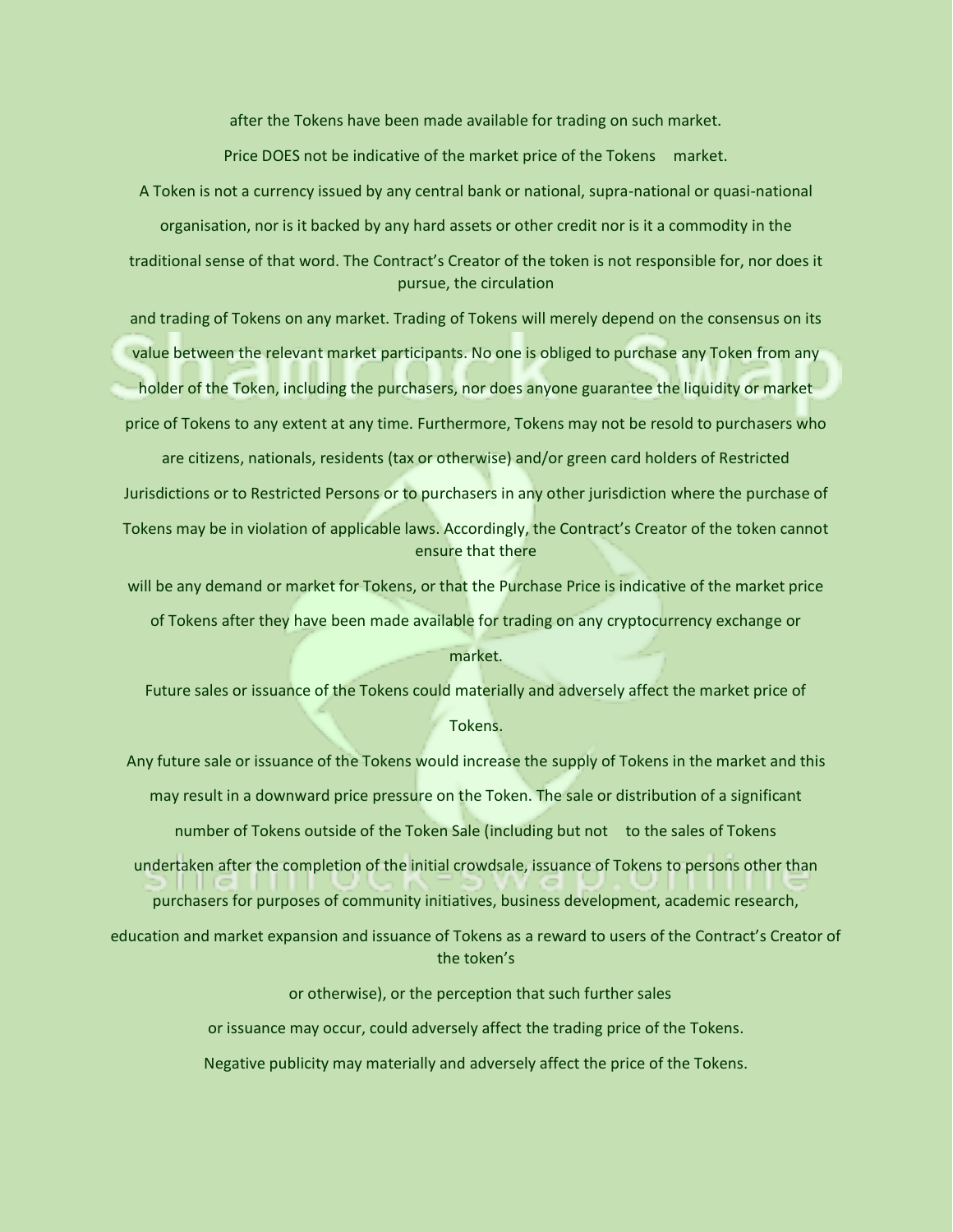after the Tokens have been made available for trading on such market.

Price DOES not be indicative of the market price of the Tokens market.

A Token is not a currency issued by any central bank or national, supra-national or quasi-national organisation, nor is it backed by any hard assets or other credit nor is it a commodity in the

traditional sense of that word. The Contract's Creator of the token is not responsible for, nor does it pursue, the circulation

and trading of Tokens on any market. Trading of Tokens will merely depend on the consensus on its value between the relevant market participants. No one is obliged to purchase any Token from any holder of the Token, including the purchasers, nor does anyone guarantee the liquidity or market price of Tokens to any extent at any time. Furthermore, Tokens may not be resold to purchasers who

are citizens, nationals, residents (tax or otherwise) and/or green card holders of Restricted Jurisdictions or to Restricted Persons or to purchasers in any other jurisdiction where the purchase of Tokens may be in violation of applicable laws. Accordingly, the Contract's Creator of the token cannot ensure that there

will be any demand or market for Tokens, or that the Purchase Price is indicative of the market price of Tokens after they have been made available for trading on any cryptocurrency exchange or

### market.

Future sales or issuance of the Tokens could materially and adversely affect the market price of Tokens.

Any future sale or issuance of the Tokens would increase the supply of Tokens in the market and this may result in a downward price pressure on the Token. The sale or distribution of a significant number of Tokens outside of the Token Sale (including but not to the sales of Tokens undertaken after the completion of the initial crowdsale, issuance of Tokens to persons other than purchasers for purposes of community initiatives, business development, academic research, education and market expansion and issuance of Tokens as a reward to users of the Contract's Creator of the token's

> or otherwise), or the perception that such further sales or issuance may occur, could adversely affect the trading price of the Tokens. Negative publicity may materially and adversely affect the price of the Tokens.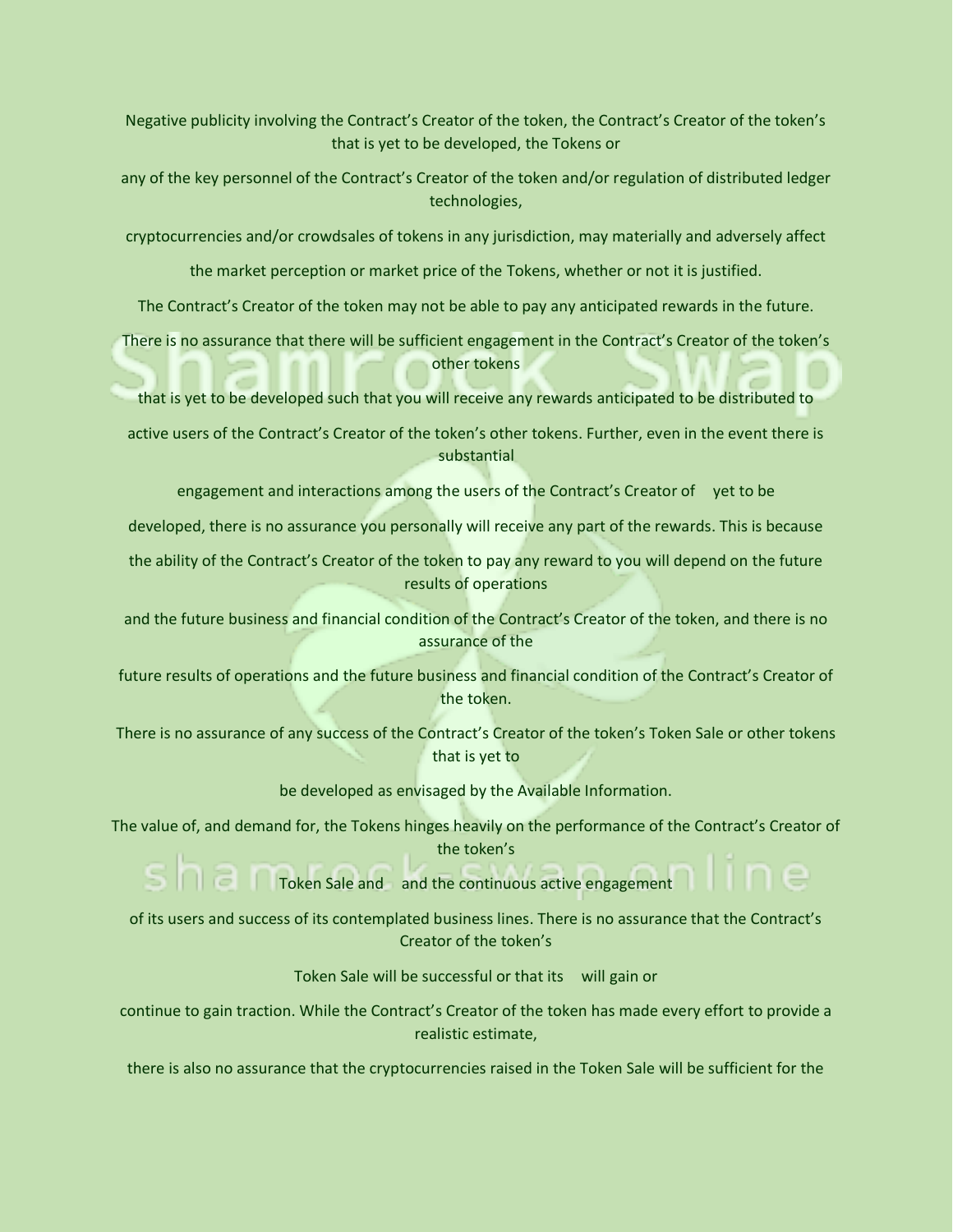Negative publicity involving the Contract's Creator of the token, the Contract's Creator of the token's that is yet to be developed, the Tokens or

any of the key personnel of the Contract's Creator of the token and/or regulation of distributed ledger technologies,

cryptocurrencies and/or crowdsales of tokens in any jurisdiction, may materially and adversely affect

the market perception or market price of the Tokens, whether or not it is justified.

The Contract's Creator of the token may not be able to pay any anticipated rewards in the future.

There is no assurance that there will be sufficient engagement in the Contract's Creator of the token's other tokens

that is yet to be developed such that you will receive any rewards anticipated to be distributed to

active users of the Contract's Creator of the token's other tokens. Further, even in the event there is substantial

engagement and interactions among the users of the Contract's Creator of yet to be

developed, there is no assurance you personally will receive any part of the rewards. This is because

the ability of the Contract's Creator of the token to pay any reward to you will depend on the future results of operations

and the future business and financial condition of the Contract's Creator of the token, and there is no assurance of the

future results of operations and the future business and financial condition of the Contract's Creator of the token.

There is no assurance of any success of the Contract's Creator of the token's Token Sale or other tokens that is yet to

be developed as envisaged by the Available Information.

The value of, and demand for, the Tokens hinges heavily on the performance of the Contract's Creator of the token's

Token Sale and and the continuous active engagement

of its users and success of its contemplated business lines. There is no assurance that the Contract's Creator of the token's

Token Sale will be successful or that its will gain or

continue to gain traction. While the Contract's Creator of the token has made every effort to provide a realistic estimate,

there is also no assurance that the cryptocurrencies raised in the Token Sale will be sufficient for the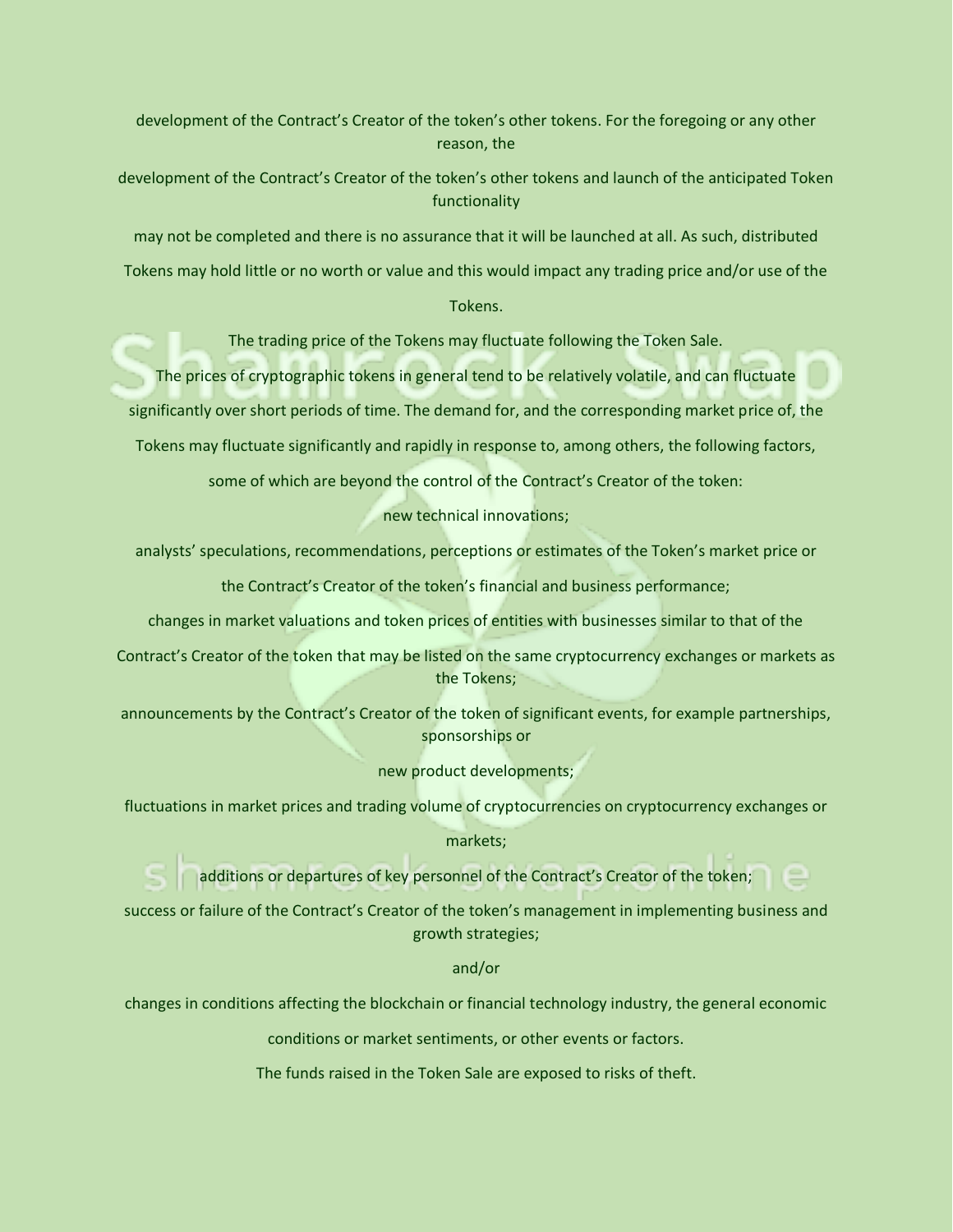development of the Contract's Creator of the token's other tokens. For the foregoing or any other reason, the

development of the Contract's Creator of the token's other tokens and launch of the anticipated Token functionality

may not be completed and there is no assurance that it will be launched at all. As such, distributed

Tokens may hold little or no worth or value and this would impact any trading price and/or use of the

Tokens.

The trading price of the Tokens may fluctuate following the Token Sale.

The prices of cryptographic tokens in general tend to be relatively volatile, and can fluctuate

significantly over short periods of time. The demand for, and the corresponding market price of, the

Tokens may fluctuate significantly and rapidly in response to, among others, the following factors,

some of which are beyond the control of the Contract's Creator of the token:

new technical innovations;

analysts' speculations, recommendations, perceptions or estimates of the Token's market price or

the Contract's Creator of the token's financial and business performance;

changes in market valuations and token prices of entities with businesses similar to that of the

Contract's Creator of the token that may be listed on the same cryptocurrency exchanges or markets as the Tokens;

announcements by the Contract's Creator of the token of significant events, for example partnerships, sponsorships or

new product developments;

fluctuations in market prices and trading volume of cryptocurrencies on cryptocurrency exchanges or

markets;

additions or departures of key personnel of the Contract's Creator of the token;

success or failure of the Contract's Creator of the token's management in implementing business and growth strategies;

and/or

changes in conditions affecting the blockchain or financial technology industry, the general economic

conditions or market sentiments, or other events or factors.

The funds raised in the Token Sale are exposed to risks of theft.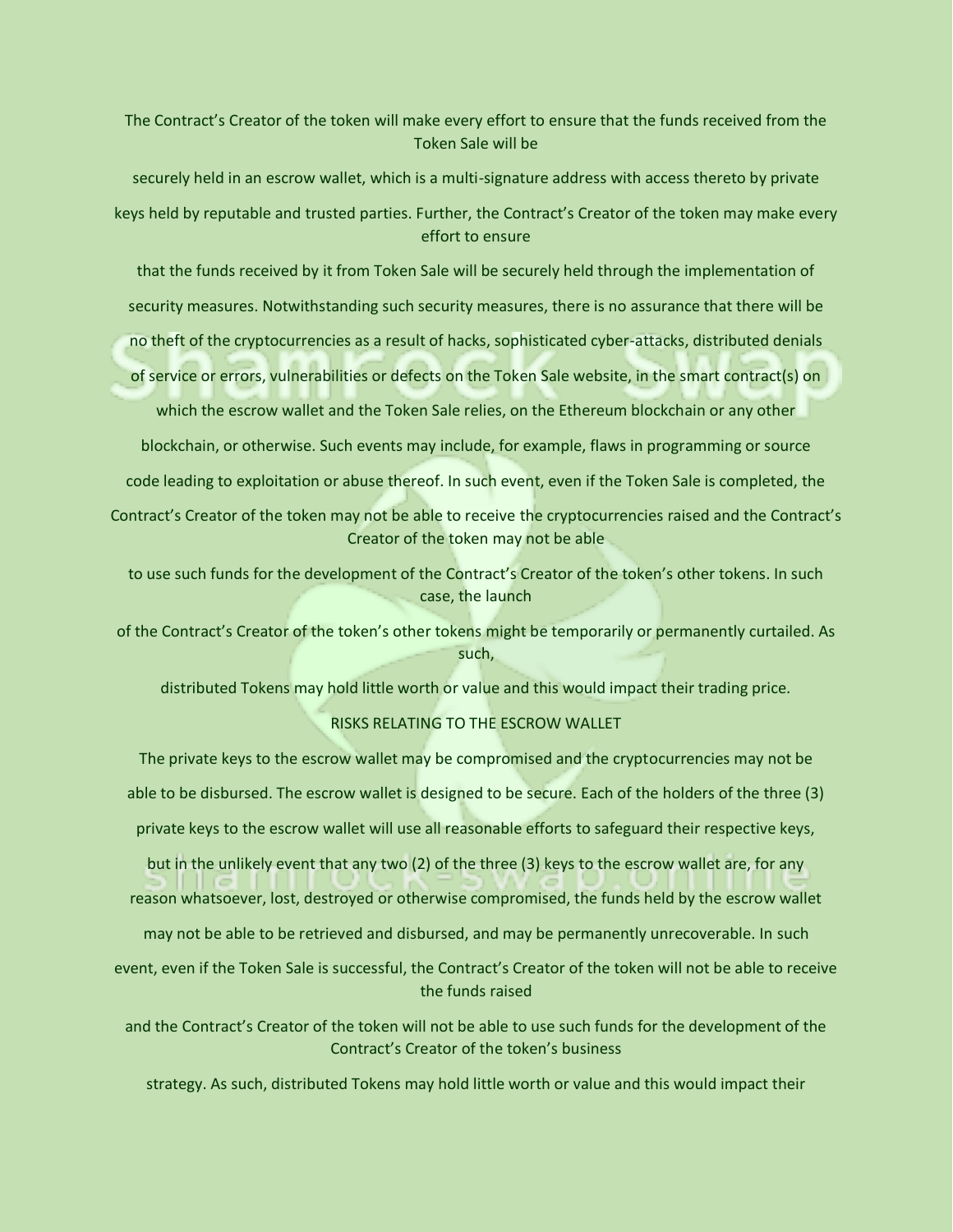The Contract's Creator of the token will make every effort to ensure that the funds received from the Token Sale will be

securely held in an escrow wallet, which is a multi-signature address with access thereto by private keys held by reputable and trusted parties. Further, the Contract's Creator of the token may make every effort to ensure

that the funds received by it from Token Sale will be securely held through the implementation of

security measures. Notwithstanding such security measures, there is no assurance that there will be

no theft of the cryptocurrencies as a result of hacks, sophisticated cyber-attacks, distributed denials

of service or errors, vulnerabilities or defects on the Token Sale website, in the smart contract(s) on

which the escrow wallet and the Token Sale relies, on the Ethereum blockchain or any other

blockchain, or otherwise. Such events may include, for example, flaws in programming or source

code leading to exploitation or abuse thereof. In such event, even if the Token Sale is completed, the

Contract's Creator of the token may not be able to receive the cryptocurrencies raised and the Contract's Creator of the token may not be able

to use such funds for the development of the Contract's Creator of the token's other tokens. In such case, the launch

of the Contract's Creator of the token's other tokens might be temporarily or permanently curtailed. As such,

distributed Tokens may hold little worth or value and this would impact their trading price.

### RISKS RELATING TO THE ESCROW WALLET

The private keys to the escrow wallet may be compromised and the cryptocurrencies may not be able to be disbursed. The escrow wallet is designed to be secure. Each of the holders of the three (3)

private keys to the escrow wallet will use all reasonable efforts to safeguard their respective keys,

but in the unlikely event that any two (2) of the three (3) keys to the escrow wallet are, for any

reason whatsoever, lost, destroyed or otherwise compromised, the funds held by the escrow wallet

may not be able to be retrieved and disbursed, and may be permanently unrecoverable. In such

event, even if the Token Sale is successful, the Contract's Creator of the token will not be able to receive the funds raised

and the Contract's Creator of the token will not be able to use such funds for the development of the Contract's Creator of the token's business

strategy. As such, distributed Tokens may hold little worth or value and this would impact their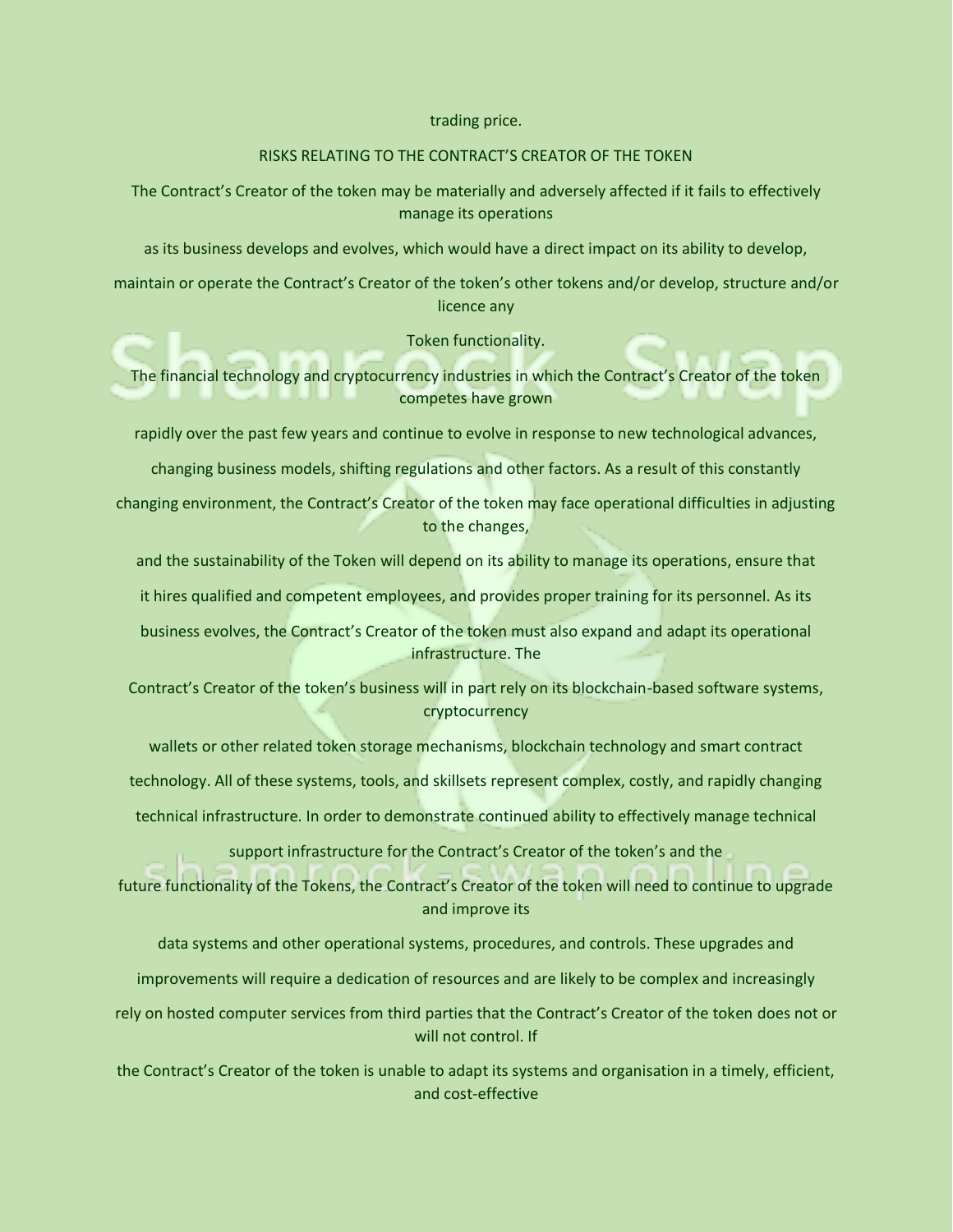### trading price.

### RISKS RELATING TO THE CONTRACT'S CREATOR OF THE TOKEN

The Contract's Creator of the token may be materially and adversely affected if it fails to effectively manage its operations

as its business develops and evolves, which would have a direct impact on its ability to develop,

maintain or operate the Contract's Creator of the token's other tokens and/or develop, structure and/or licence any

Token functionality.

The financial technology and cryptocurrency industries in which the Contract's Creator of the token competes have grown

rapidly over the past few years and continue to evolve in response to new technological advances,

changing business models, shifting regulations and other factors. As a result of this constantly

changing environment, the Contract's Creator of the token may face operational difficulties in adjusting to the changes,

and the sustainability of the Token will depend on its ability to manage its operations, ensure that

it hires qualified and competent employees, and provides proper training for its personnel. As its

business evolves, the Contract's Creator of the token must also expand and adapt its operational infrastructure. The

Contract's Creator of the token's business will in part rely on its blockchain-based software systems, cryptocurrency

wallets or other related token storage mechanisms, blockchain technology and smart contract

technology. All of these systems, tools, and skillsets represent complex, costly, and rapidly changing

technical infrastructure. In order to demonstrate continued ability to effectively manage technical

support infrastructure for the Contract's Creator of the token's and the

future functionality of the Tokens, the Contract's Creator of the token will need to continue to upgrade and improve its

data systems and other operational systems, procedures, and controls. These upgrades and

improvements will require a dedication of resources and are likely to be complex and increasingly

rely on hosted computer services from third parties that the Contract's Creator of the token does not or will not control. If

the Contract's Creator of the token is unable to adapt its systems and organisation in a timely, efficient, and cost-effective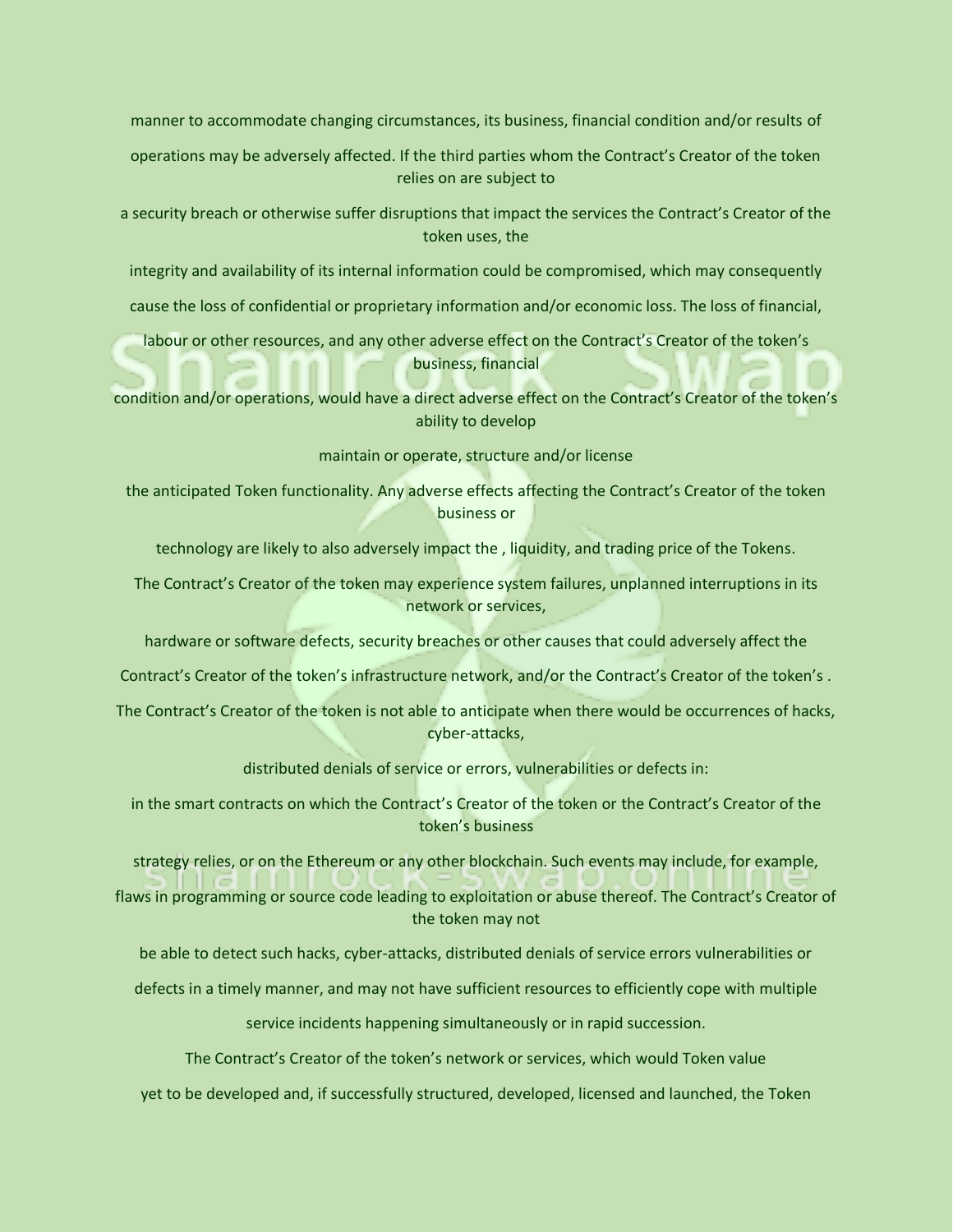manner to accommodate changing circumstances, its business, financial condition and/or results of

operations may be adversely affected. If the third parties whom the Contract's Creator of the token relies on are subject to

a security breach or otherwise suffer disruptions that impact the services the Contract's Creator of the token uses, the

integrity and availability of its internal information could be compromised, which may consequently

cause the loss of confidential or proprietary information and/or economic loss. The loss of financial,

labour or other resources, and any other adverse effect on the Contract's Creator of the token's business, financial

condition and/or operations, would have a direct adverse effect on the Contract's Creator of the token's ability to develop

maintain or operate, structure and/or license

the anticipated Token functionality. Any adverse effects affecting the Contract's Creator of the token business or

technology are likely to also adversely impact the , liquidity, and trading price of the Tokens.

The Contract's Creator of the token may experience system failures, unplanned interruptions in its network or services,

hardware or software defects, security breaches or other causes that could adversely affect the

Contract's Creator of the token's infrastructure network, and/or the Contract's Creator of the token's .

The Contract's Creator of the token is not able to anticipate when there would be occurrences of hacks, cyber-attacks,

distributed denials of service or errors, vulnerabilities or defects in:

in the smart contracts on which the Contract's Creator of the token or the Contract's Creator of the token's business

strategy relies, or on the Ethereum or any other blockchain. Such events may include, for example,

flaws in programming or source code leading to exploitation or abuse thereof. The Contract's Creator of the token may not

be able to detect such hacks, cyber-attacks, distributed denials of service errors vulnerabilities or

defects in a timely manner, and may not have sufficient resources to efficiently cope with multiple

service incidents happening simultaneously or in rapid succession.

The Contract's Creator of the token's network or services, which would Token value

yet to be developed and, if successfully structured, developed, licensed and launched, the Token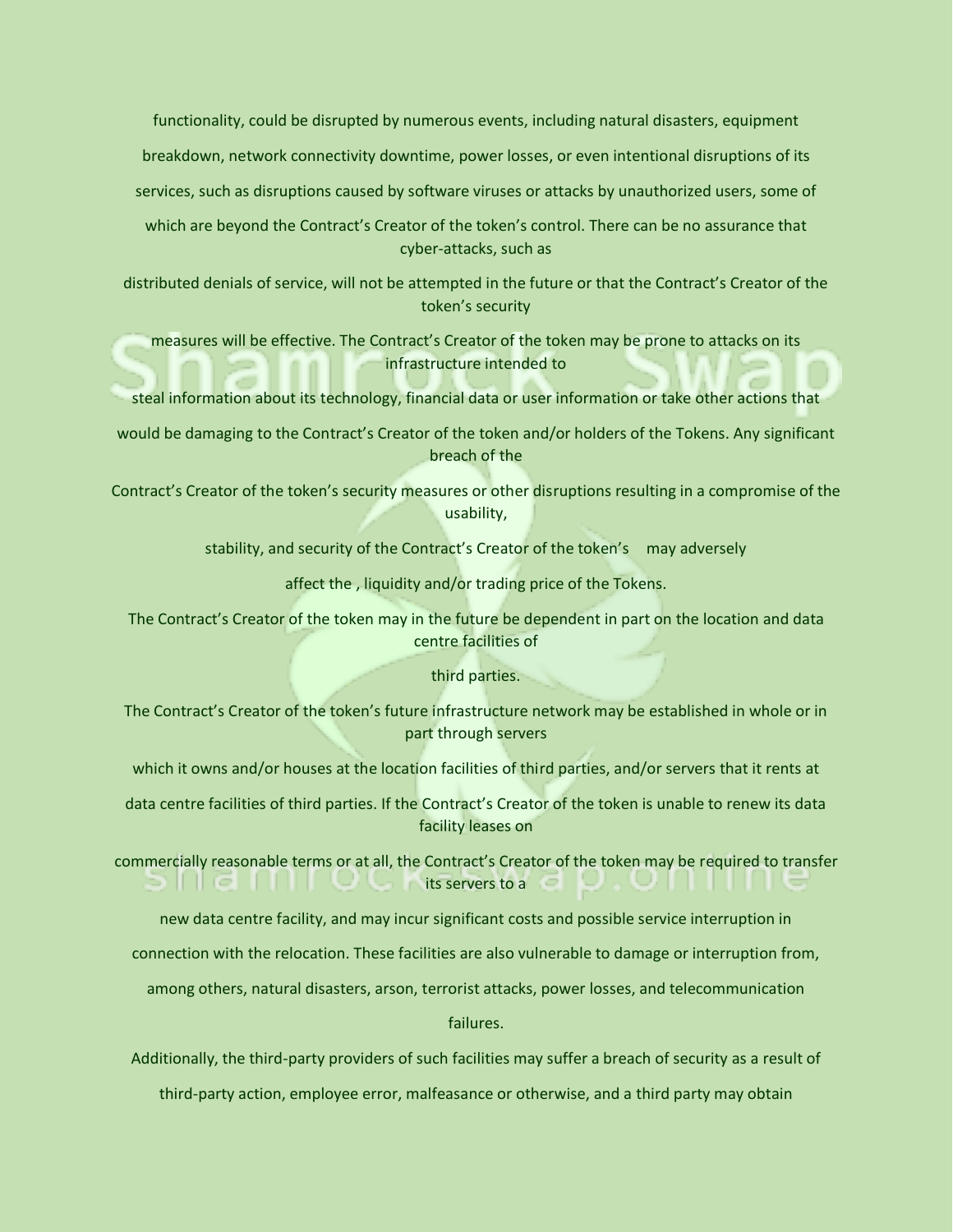functionality, could be disrupted by numerous events, including natural disasters, equipment breakdown, network connectivity downtime, power losses, or even intentional disruptions of its services, such as disruptions caused by software viruses or attacks by unauthorized users, some of

which are beyond the Contract's Creator of the token's control. There can be no assurance that cyber-attacks, such as

distributed denials of service, will not be attempted in the future or that the Contract's Creator of the token's security

measures will be effective. The Contract's Creator of the token may be prone to attacks on its infrastructure intended to

steal information about its technology, financial data or user information or take other actions that

would be damaging to the Contract's Creator of the token and/or holders of the Tokens. Any significant breach of the

Contract's Creator of the token's security measures or other disruptions resulting in a compromise of the usability,

stability, and security of the Contract's Creator of the token's may adversely

affect the , liquidity and/or trading price of the Tokens.

The Contract's Creator of the token may in the future be dependent in part on the location and data centre facilities of

### third parties.

The Contract's Creator of the token's future infrastructure network may be established in whole or in part through servers

which it owns and/or houses at the location facilities of third parties, and/or servers that it rents at

data centre facilities of third parties. If the Contract's Creator of the token is unable to renew its data facility leases on

commercially reasonable terms or at all, the Contract's Creator of the token may be required to transfer its servers to a

new data centre facility, and may incur significant costs and possible service interruption in

connection with the relocation. These facilities are also vulnerable to damage or interruption from,

among others, natural disasters, arson, terrorist attacks, power losses, and telecommunication

failures.

Additionally, the third-party providers of such facilities may suffer a breach of security as a result of

third-party action, employee error, malfeasance or otherwise, and a third party may obtain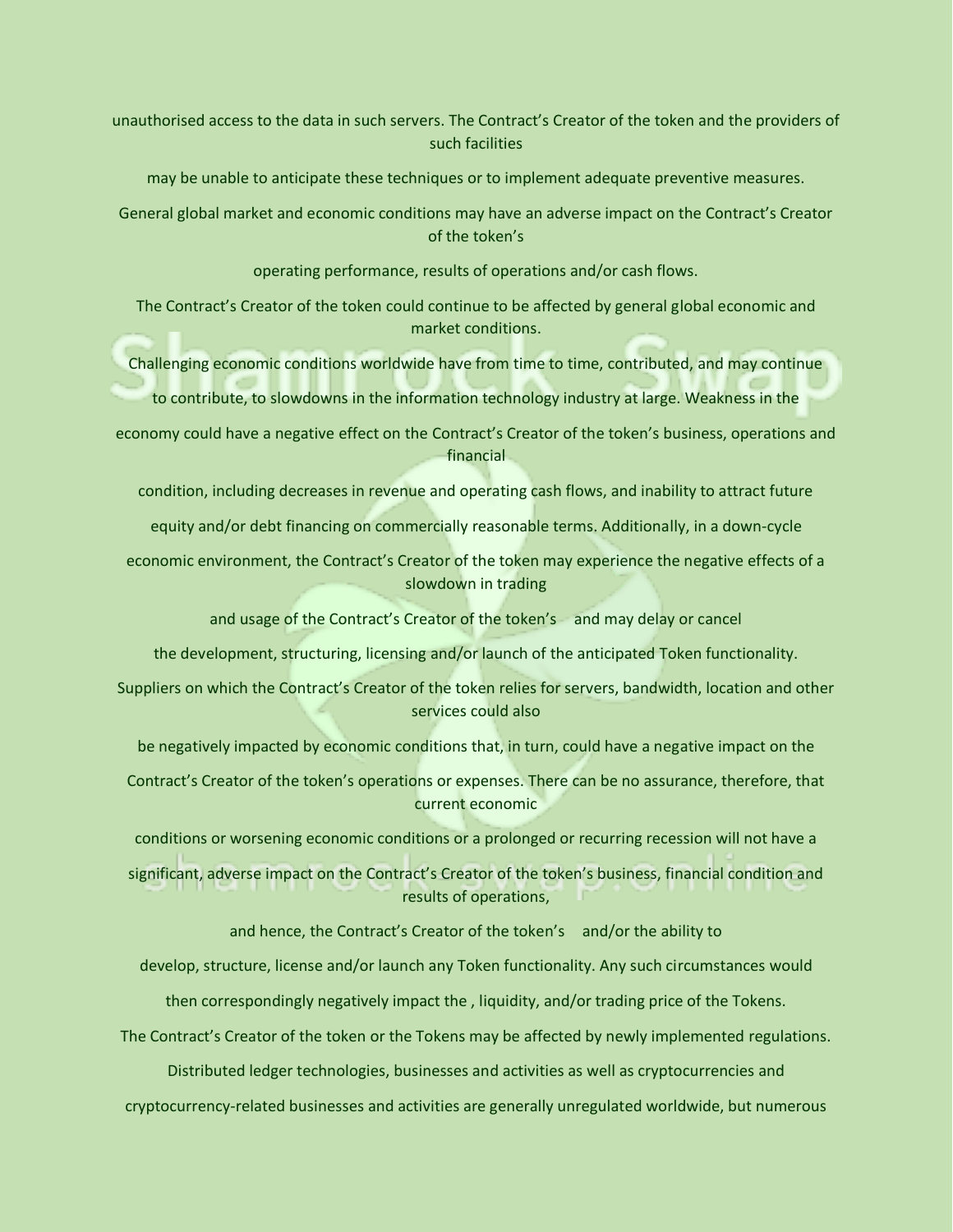unauthorised access to the data in such servers. The Contract's Creator of the token and the providers of such facilities

may be unable to anticipate these techniques or to implement adequate preventive measures.

General global market and economic conditions may have an adverse impact on the Contract's Creator of the token's

operating performance, results of operations and/or cash flows.

The Contract's Creator of the token could continue to be affected by general global economic and market conditions.

Challenging economic conditions worldwide have from time to time, contributed, and may continue

to contribute, to slowdowns in the information technology industry at large. Weakness in the

economy could have a negative effect on the Contract's Creator of the token's business, operations and financial

condition, including decreases in revenue and operating cash flows, and inability to attract future

equity and/or debt financing on commercially reasonable terms. Additionally, in a down-cycle

economic environment, the Contract's Creator of the token may experience the negative effects of a slowdown in trading

and usage of the Contract's Creator of the token's and may delay or cancel

the development, structuring, licensing and/or launch of the anticipated Token functionality.

Suppliers on which the Contract's Creator of the token relies for servers, bandwidth, location and other services could also

be negatively impacted by economic conditions that, in turn, could have a negative impact on the

Contract's Creator of the token's operations or expenses. There can be no assurance, therefore, that current economic

conditions or worsening economic conditions or a prolonged or recurring recession will not have a

significant, adverse impact on the Contract's Creator of the token's business, financial condition and results of operations,

and hence, the Contract's Creator of the token's and/or the ability to

develop, structure, license and/or launch any Token functionality. Any such circumstances would

then correspondingly negatively impact the , liquidity, and/or trading price of the Tokens.

The Contract's Creator of the token or the Tokens may be affected by newly implemented regulations.

Distributed ledger technologies, businesses and activities as well as cryptocurrencies and

cryptocurrency-related businesses and activities are generally unregulated worldwide, but numerous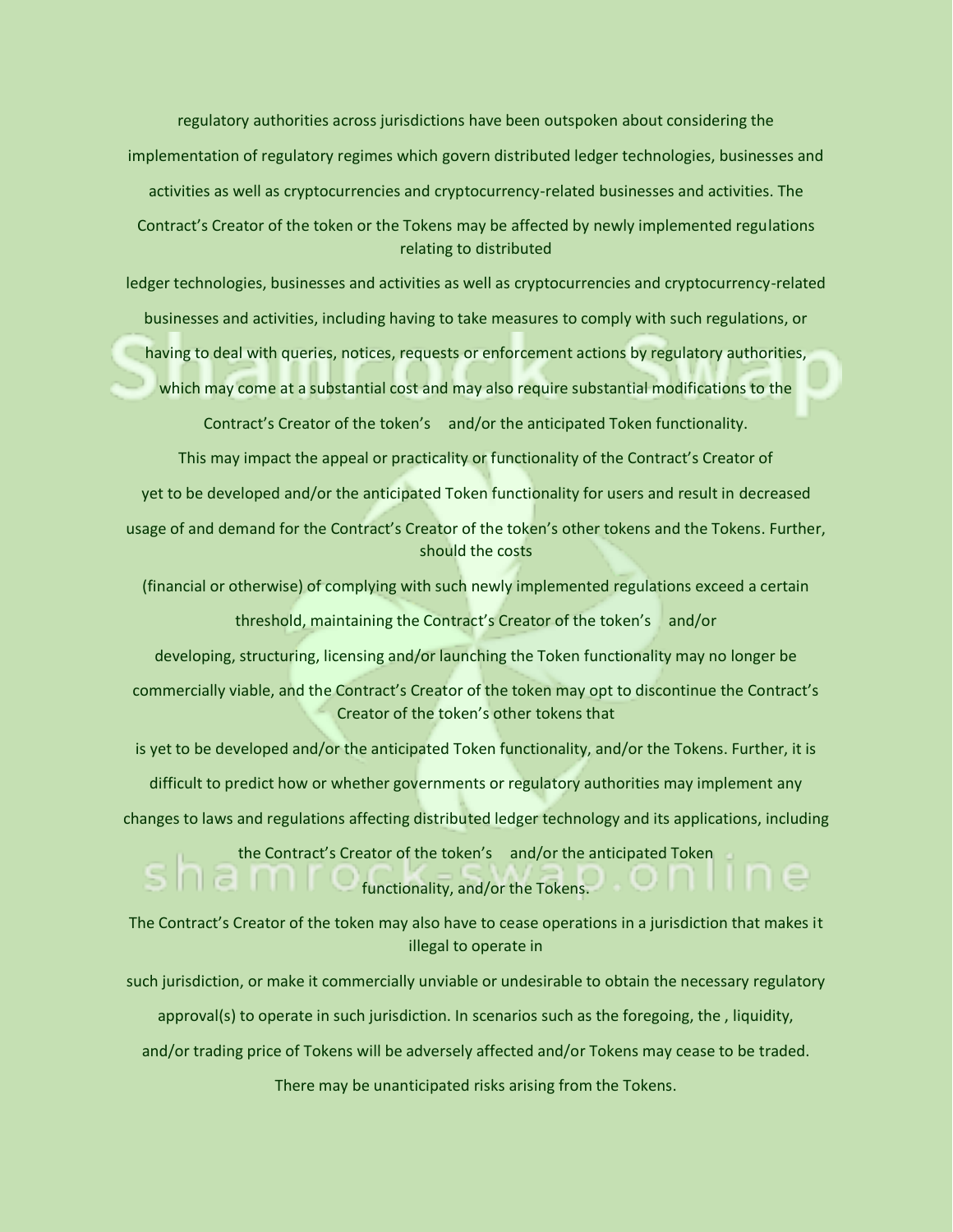regulatory authorities across jurisdictions have been outspoken about considering the implementation of regulatory regimes which govern distributed ledger technologies, businesses and activities as well as cryptocurrencies and cryptocurrency-related businesses and activities. The Contract's Creator of the token or the Tokens may be affected by newly implemented regulations relating to distributed

ledger technologies, businesses and activities as well as cryptocurrencies and cryptocurrency-related businesses and activities, including having to take measures to comply with such regulations, or

having to deal with queries, notices, requests or enforcement actions by regulatory authorities,

which may come at a substantial cost and may also require substantial modifications to the

Contract's Creator of the token's and/or the anticipated Token functionality.

This may impact the appeal or practicality or functionality of the Contract's Creator of

yet to be developed and/or the anticipated Token functionality for users and result in decreased

usage of and demand for the Contract's Creator of the token's other tokens and the Tokens. Further, should the costs

(financial or otherwise) of complying with such newly implemented regulations exceed a certain

threshold, maintaining the Contract's Creator of the token's and/or

developing, structuring, licensing and/or launching the Token functionality may no longer be

commercially viable, and the Contract's Creator of the token may opt to discontinue the Contract's Creator of the token's other tokens that

is yet to be developed and/or the anticipated Token functionality, and/or the Tokens. Further, it is

difficult to predict how or whether governments or regulatory authorities may implement any

changes to laws and regulations affecting distributed ledger technology and its applications, including

the Contract's Creator of the token's and/or the anticipated Token functionality, and/or the Tokens.

The Contract's Creator of the token may also have to cease operations in a jurisdiction that makes it illegal to operate in

such jurisdiction, or make it commercially unviable or undesirable to obtain the necessary regulatory

approval(s) to operate in such jurisdiction. In scenarios such as the foregoing, the , liquidity,

and/or trading price of Tokens will be adversely affected and/or Tokens may cease to be traded.

There may be unanticipated risks arising from the Tokens.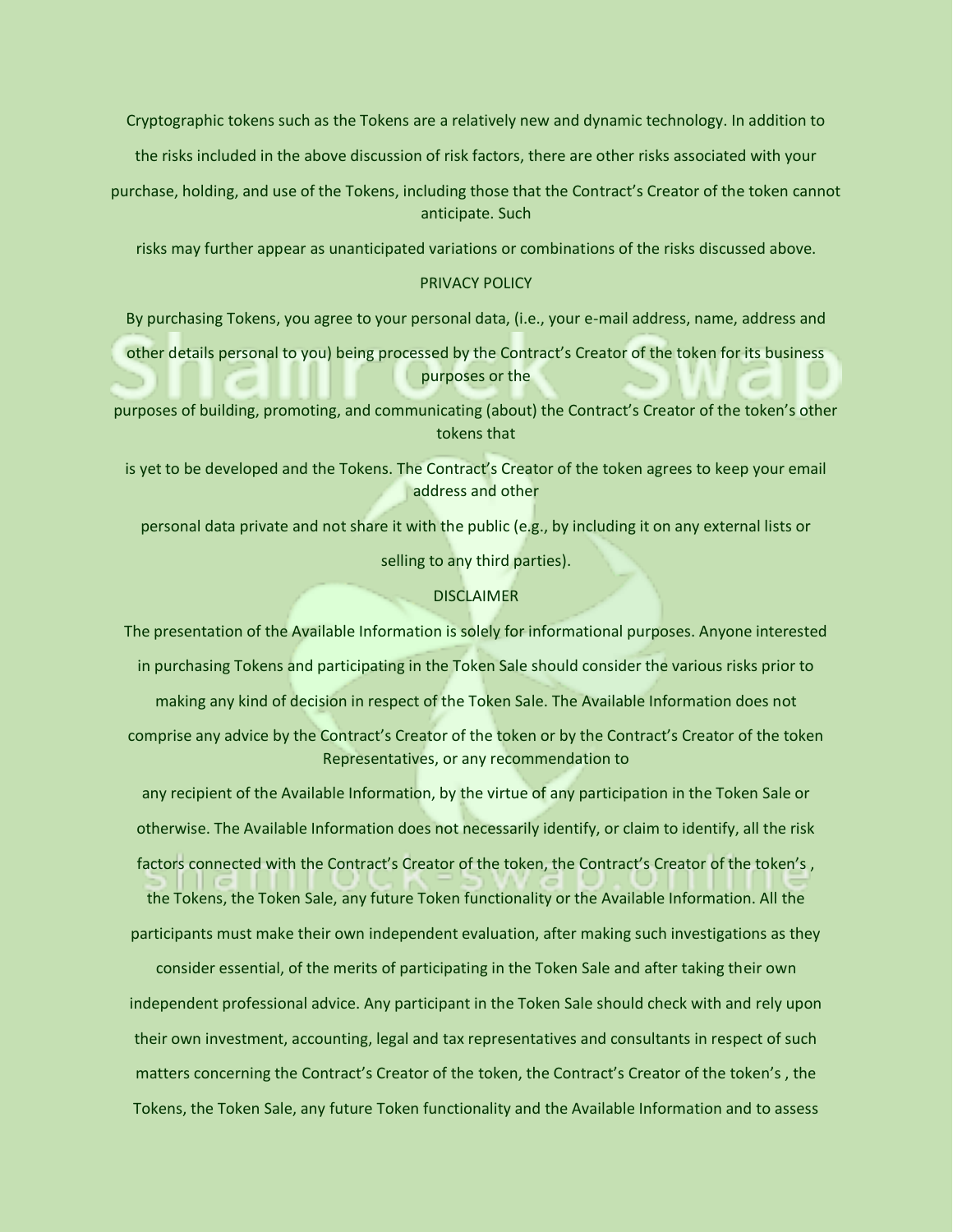Cryptographic tokens such as the Tokens are a relatively new and dynamic technology. In addition to

the risks included in the above discussion of risk factors, there are other risks associated with your

purchase, holding, and use of the Tokens, including those that the Contract's Creator of the token cannot anticipate. Such

risks may further appear as unanticipated variations or combinations of the risks discussed above.

### PRIVACY POLICY

By purchasing Tokens, you agree to your personal data, (i.e., your e-mail address, name, address and

other details personal to you) being processed by the Contract's Creator of the token for its business purposes or the

purposes of building, promoting, and communicating (about) the Contract's Creator of the token's other tokens that

is yet to be developed and the Tokens. The Contract's Creator of the token agrees to keep your email address and other

personal data private and not share it with the public (e.g., by including it on any external lists or

selling to any third parties).

### DISCLAIMER

The presentation of the Available Information is solely for informational purposes. Anyone interested

in purchasing Tokens and participating in the Token Sale should consider the various risks prior to

making any kind of decision in respect of the Token Sale. The Available Information does not

comprise any advice by the Contract's Creator of the token or by the Contract's Creator of the token Representatives, or any recommendation to

any recipient of the Available Information, by the virtue of any participation in the Token Sale or otherwise. The Available Information does not necessarily identify, or claim to identify, all the risk factors connected with the Contract's Creator of the token, the Contract's Creator of the token's , the Tokens, the Token Sale, any future Token functionality or the Available Information. All the

participants must make their own independent evaluation, after making such investigations as they

consider essential, of the merits of participating in the Token Sale and after taking their own independent professional advice. Any participant in the Token Sale should check with and rely upon their own investment, accounting, legal and tax representatives and consultants in respect of such matters concerning the Contract's Creator of the token, the Contract's Creator of the token's , the Tokens, the Token Sale, any future Token functionality and the Available Information and to assess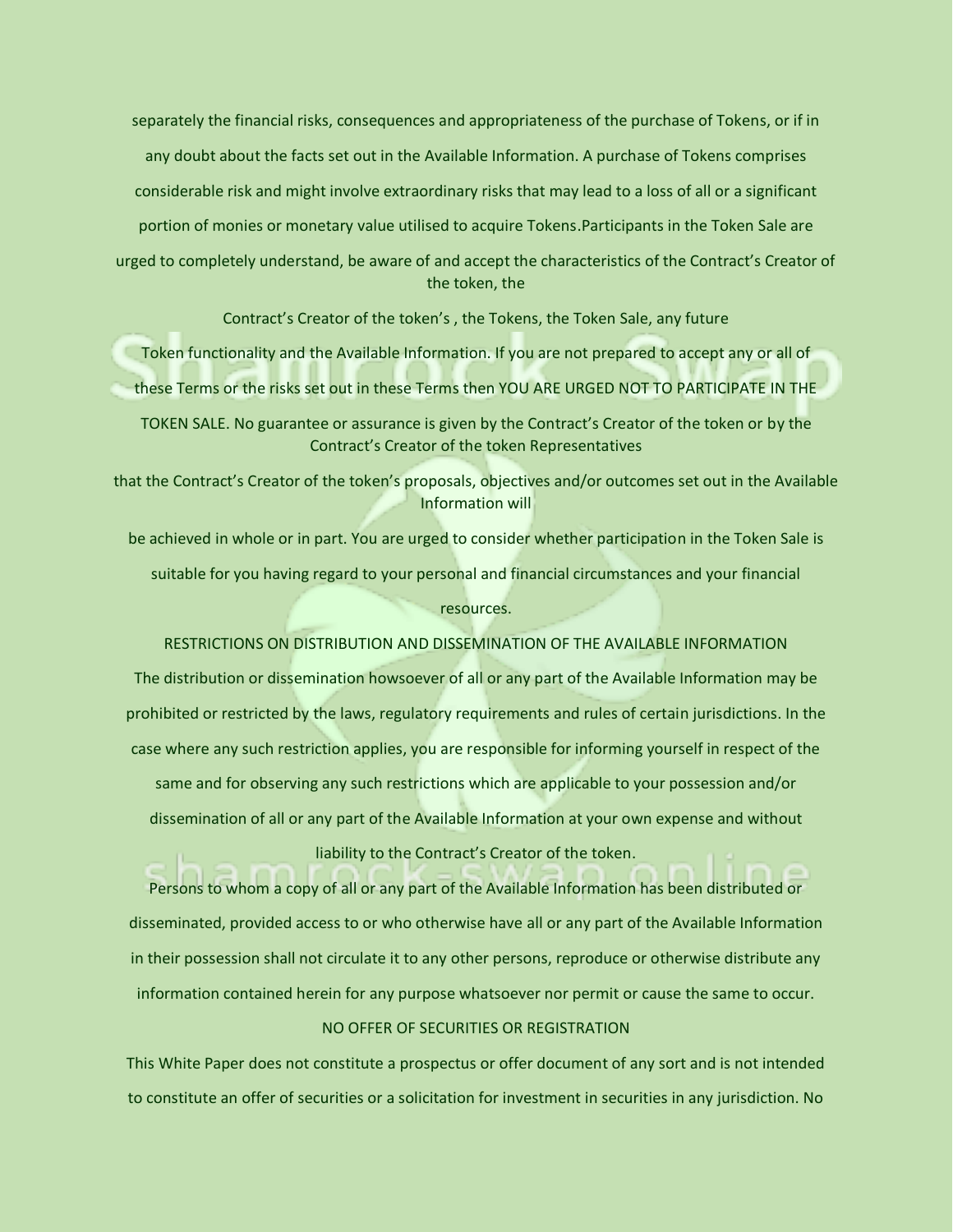separately the financial risks, consequences and appropriateness of the purchase of Tokens, or if in any doubt about the facts set out in the Available Information. A purchase of Tokens comprises considerable risk and might involve extraordinary risks that may lead to a loss of all or a significant portion of monies or monetary value utilised to acquire Tokens.Participants in the Token Sale are urged to completely understand, be aware of and accept the characteristics of the Contract's Creator of the token, the

Contract's Creator of the token's , the Tokens, the Token Sale, any future

Token functionality and the Available Information. If you are not prepared to accept any or all of these Terms or the risks set out in these Terms then YOU ARE URGED NOT TO PARTICIPATE IN THE

TOKEN SALE. No guarantee or assurance is given by the Contract's Creator of the token or by the Contract's Creator of the token Representatives

that the Contract's Creator of the token's proposals, objectives and/or outcomes set out in the Available Information will

be achieved in whole or in part. You are urged to consider whether participation in the Token Sale is suitable for you having regard to your personal and financial circumstances and your financial resources.

RESTRICTIONS ON DISTRIBUTION AND DISSEMINATION OF THE AVAILABLE INFORMATION The distribution or dissemination howsoever of all or any part of the Available Information may be prohibited or restricted by the laws, regulatory requirements and rules of certain jurisdictions. In the case where any such restriction applies, you are responsible for informing yourself in respect of the same and for observing any such restrictions which are applicable to your possession and/or dissemination of all or any part of the Available Information at your own expense and without liability to the Contract's Creator of the token.

Persons to whom a copy of all or any part of the Available Information has been distributed or disseminated, provided access to or who otherwise have all or any part of the Available Information in their possession shall not circulate it to any other persons, reproduce or otherwise distribute any information contained herein for any purpose whatsoever nor permit or cause the same to occur.

# NO OFFER OF SECURITIES OR REGISTRATION

This White Paper does not constitute a prospectus or offer document of any sort and is not intended to constitute an offer of securities or a solicitation for investment in securities in any jurisdiction. No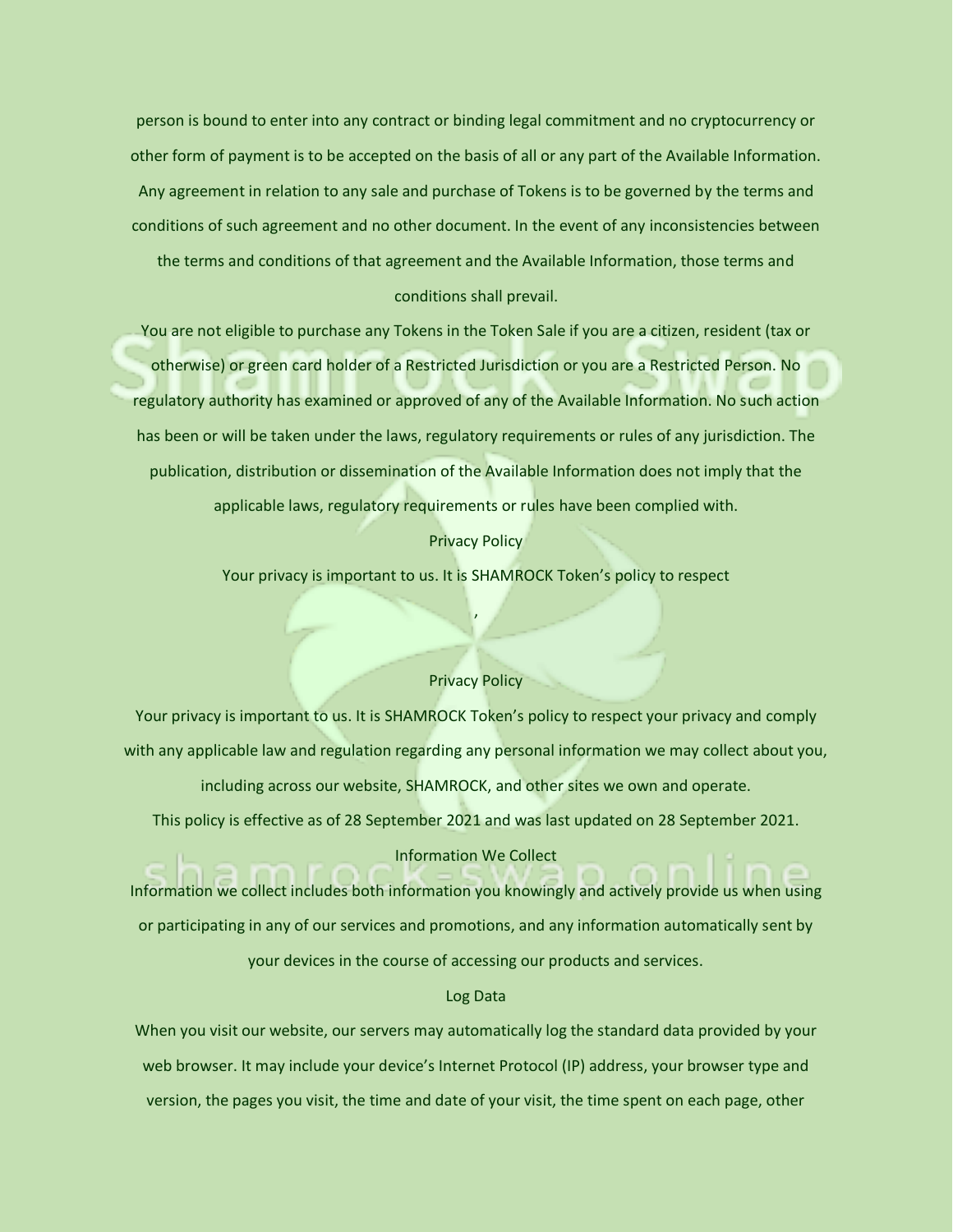person is bound to enter into any contract or binding legal commitment and no cryptocurrency or other form of payment is to be accepted on the basis of all or any part of the Available Information. Any agreement in relation to any sale and purchase of Tokens is to be governed by the terms and conditions of such agreement and no other document. In the event of any inconsistencies between the terms and conditions of that agreement and the Available Information, those terms and conditions shall prevail.

You are not eligible to purchase any Tokens in the Token Sale if you are a citizen, resident (tax or otherwise) or green card holder of a Restricted Jurisdiction or you are a Restricted Person. No regulatory authority has examined or approved of any of the Available Information. No such action has been or will be taken under the laws, regulatory requirements or rules of any jurisdiction. The publication, distribution or dissemination of the Available Information does not imply that the applicable laws, regulatory requirements or rules have been complied with.

### Privacy Policy

Your privacy is important to us. It is SHAMROCK Token's policy to respect

,

### Privacy Policy

Your privacy is important to us. It is SHAMROCK Token's policy to respect your privacy and comply with any applicable law and regulation regarding any personal information we may collect about you, including across our website, SHAMROCK, and other sites we own and operate. This policy is effective as of 28 September 2021 and was last updated on 28 September 2021.

### Information We Collect

Information we collect includes both information you knowingly and actively provide us when using or participating in any of our services and promotions, and any information automatically sent by your devices in the course of accessing our products and services.

### Log Data

When you visit our website, our servers may automatically log the standard data provided by your web browser. It may include your device's Internet Protocol (IP) address, your browser type and version, the pages you visit, the time and date of your visit, the time spent on each page, other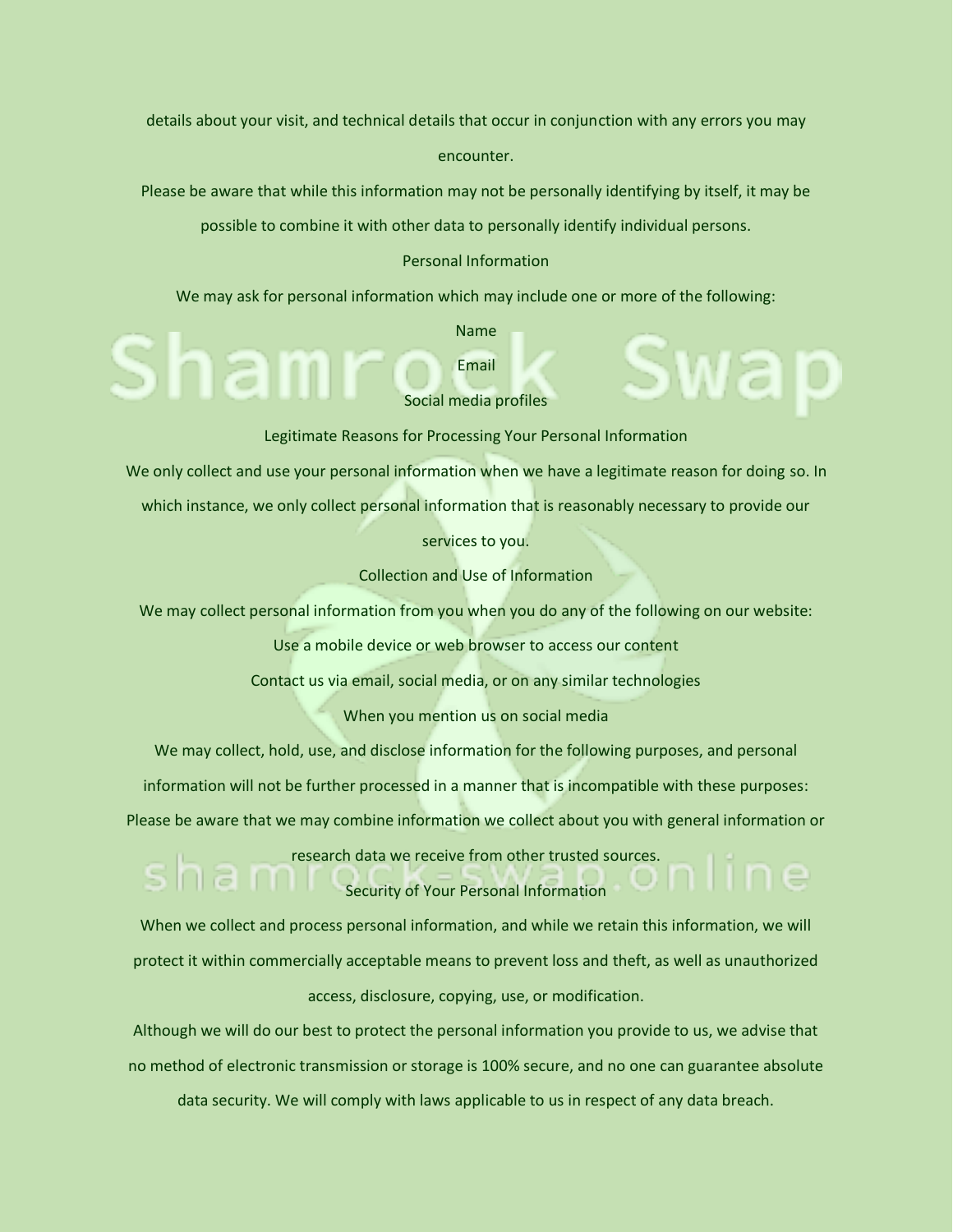details about your visit, and technical details that occur in conjunction with any errors you may encounter.

Please be aware that while this information may not be personally identifying by itself, it may be

possible to combine it with other data to personally identify individual persons.

### Personal Information

We may ask for personal information which may include one or more of the following:

Name Email

Social media profiles

Legitimate Reasons for Processing Your Personal Information

We only collect and use your personal information when we have a legitimate reason for doing so. In

which instance, we only collect personal information that is reasonably necessary to provide our

services to you.

Collection and Use of Information

We may collect personal information from you when you do any of the following on our website:

Use a mobile device or web browser to access our content

Contact us via email, social media, or on any similar technologies

When you mention us on social media

We may collect, hold, use, and disclose information for the following purposes, and personal

information will not be further processed in a manner that is incompatible with these purposes:

Please be aware that we may combine information we collect about you with general information or

research data we receive from other trusted sources.

Security of Your Personal Information

When we collect and process personal information, and while we retain this information, we will protect it within commercially acceptable means to prevent loss and theft, as well as unauthorized access, disclosure, copying, use, or modification.

Although we will do our best to protect the personal information you provide to us, we advise that no method of electronic transmission or storage is 100% secure, and no one can guarantee absolute data security. We will comply with laws applicable to us in respect of any data breach.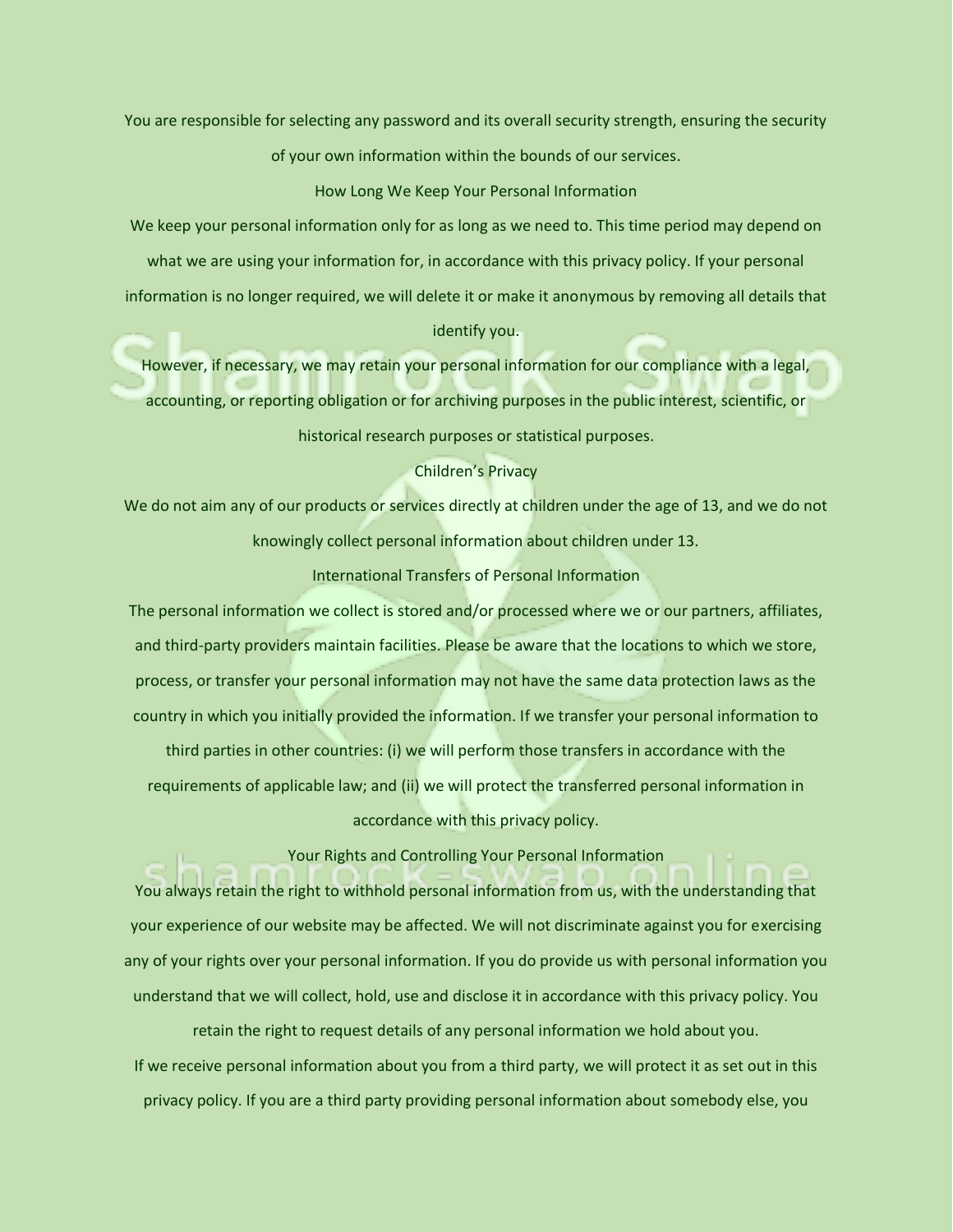You are responsible for selecting any password and its overall security strength, ensuring the security of your own information within the bounds of our services.

### How Long We Keep Your Personal Information

We keep your personal information only for as long as we need to. This time period may depend on what we are using your information for, in accordance with this privacy policy. If your personal information is no longer required, we will delete it or make it anonymous by removing all details that identify you.

However, if necessary, we may retain your personal information for our compliance with a legal, accounting, or reporting obligation or for archiving purposes in the public interest, scientific, or historical research purposes or statistical purposes.

### Children's Privacy

We do not aim any of our products or services directly at children under the age of 13, and we do not knowingly collect personal information about children under 13.

### International Transfers of Personal Information

The personal information we collect is stored and/or processed where we or our partners, affiliates, and third-party providers maintain facilities. Please be aware that the locations to which we store, process, or transfer your personal information may not have the same data protection laws as the country in which you initially provided the information. If we transfer your personal information to third parties in other countries: (i) we will perform those transfers in accordance with the requirements of applicable law; and (ii) we will protect the transferred personal information in accordance with this privacy policy.

Your Rights and Controlling Your Personal Information

You always retain the right to withhold personal information from us, with the understanding that your experience of our website may be affected. We will not discriminate against you for exercising any of your rights over your personal information. If you do provide us with personal information you understand that we will collect, hold, use and disclose it in accordance with this privacy policy. You

retain the right to request details of any personal information we hold about you. If we receive personal information about you from a third party, we will protect it as set out in this privacy policy. If you are a third party providing personal information about somebody else, you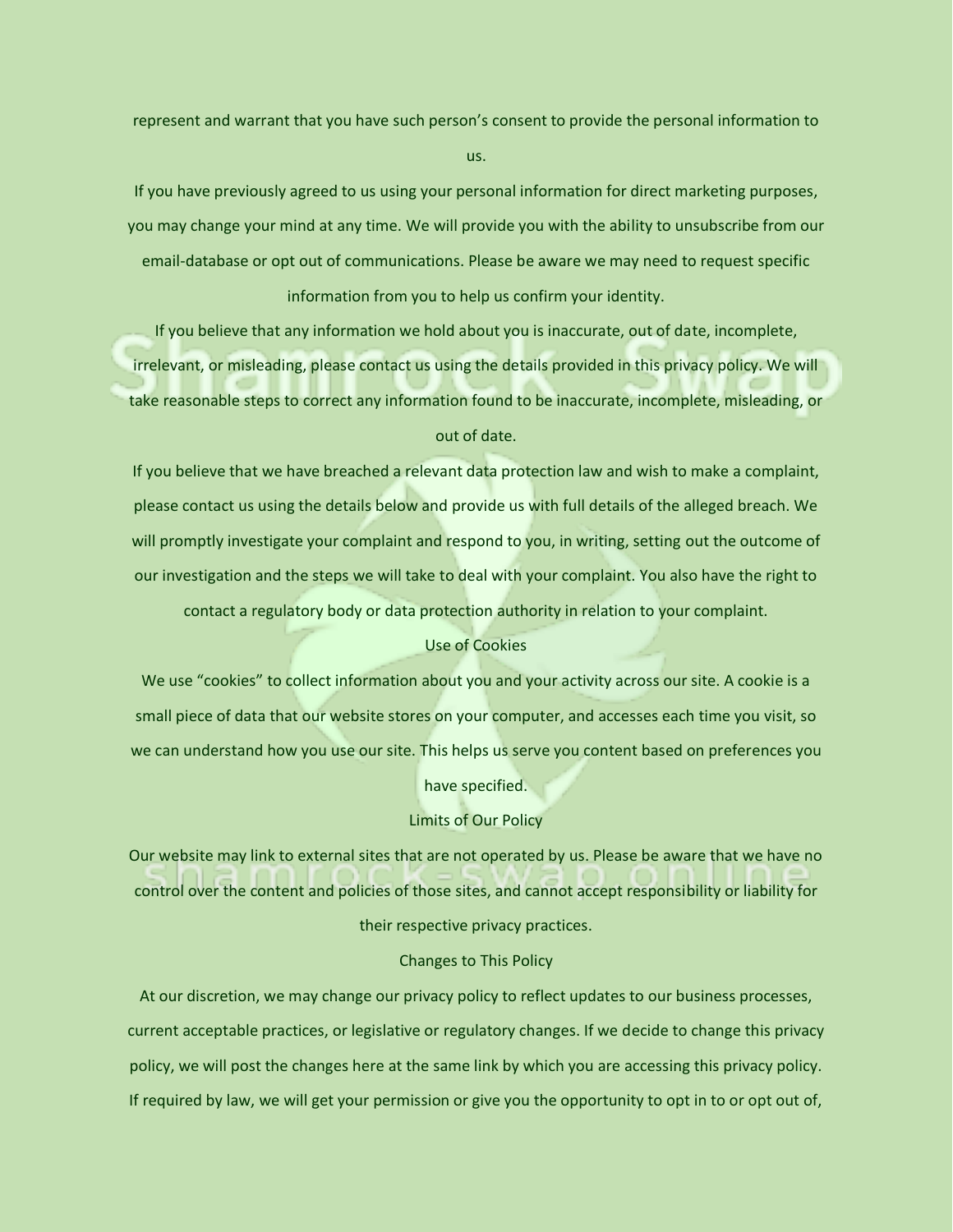represent and warrant that you have such person's consent to provide the personal information to us.

If you have previously agreed to us using your personal information for direct marketing purposes, you may change your mind at any time. We will provide you with the ability to unsubscribe from our email-database or opt out of communications. Please be aware we may need to request specific information from you to help us confirm your identity.

If you believe that any information we hold about you is inaccurate, out of date, incomplete, irrelevant, or misleading, please contact us using the details provided in this privacy policy. We will take reasonable steps to correct any information found to be inaccurate, incomplete, misleading, or out of date.

If you believe that we have breached a relevant data protection law and wish to make a complaint, please contact us using the details below and provide us with full details of the alleged breach. We will promptly investigate your complaint and respond to you, in writing, setting out the outcome of our investigation and the steps we will take to deal with your complaint. You also have the right to contact a regulatory body or data protection authority in relation to your complaint.

### Use of Cookies

We use "cookies" to collect information about you and your activity across our site. A cookie is a small piece of data that our website stores on your computer, and accesses each time you visit, so we can understand how you use our site. This helps us serve you content based on preferences you

have specified.

### Limits of Our Policy

Our website may link to external sites that are not operated by us. Please be aware that we have no control over the content and policies of those sites, and cannot accept responsibility or liability for

# their respective privacy practices.

### Changes to This Policy

At our discretion, we may change our privacy policy to reflect updates to our business processes, current acceptable practices, or legislative or regulatory changes. If we decide to change this privacy policy, we will post the changes here at the same link by which you are accessing this privacy policy. If required by law, we will get your permission or give you the opportunity to opt in to or opt out of,